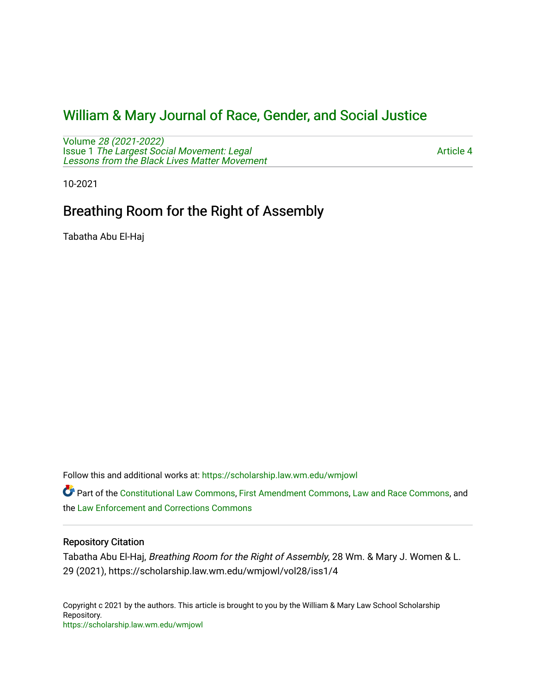## [William & Mary Journal of Race, Gender, and Social Justice](https://scholarship.law.wm.edu/wmjowl)

Volume [28 \(2021-2022\)](https://scholarship.law.wm.edu/wmjowl/vol28)  Issue 1 [The Largest Social Movement: Legal](https://scholarship.law.wm.edu/wmjowl/vol28/iss1) [Lessons from the Black Lives Matter Movement](https://scholarship.law.wm.edu/wmjowl/vol28/iss1) 

[Article 4](https://scholarship.law.wm.edu/wmjowl/vol28/iss1/4) 

10-2021

# Breathing Room for the Right of Assembly

Tabatha Abu El-Haj

Follow this and additional works at: [https://scholarship.law.wm.edu/wmjowl](https://scholarship.law.wm.edu/wmjowl?utm_source=scholarship.law.wm.edu%2Fwmjowl%2Fvol28%2Fiss1%2F4&utm_medium=PDF&utm_campaign=PDFCoverPages) 

Part of the [Constitutional Law Commons,](http://network.bepress.com/hgg/discipline/589?utm_source=scholarship.law.wm.edu%2Fwmjowl%2Fvol28%2Fiss1%2F4&utm_medium=PDF&utm_campaign=PDFCoverPages) [First Amendment Commons,](http://network.bepress.com/hgg/discipline/1115?utm_source=scholarship.law.wm.edu%2Fwmjowl%2Fvol28%2Fiss1%2F4&utm_medium=PDF&utm_campaign=PDFCoverPages) [Law and Race Commons,](http://network.bepress.com/hgg/discipline/1300?utm_source=scholarship.law.wm.edu%2Fwmjowl%2Fvol28%2Fiss1%2F4&utm_medium=PDF&utm_campaign=PDFCoverPages) and the [Law Enforcement and Corrections Commons](http://network.bepress.com/hgg/discipline/854?utm_source=scholarship.law.wm.edu%2Fwmjowl%2Fvol28%2Fiss1%2F4&utm_medium=PDF&utm_campaign=PDFCoverPages) 

## Repository Citation

Tabatha Abu El-Haj, Breathing Room for the Right of Assembly, 28 Wm. & Mary J. Women & L. 29 (2021), https://scholarship.law.wm.edu/wmjowl/vol28/iss1/4

Copyright c 2021 by the authors. This article is brought to you by the William & Mary Law School Scholarship Repository. <https://scholarship.law.wm.edu/wmjowl>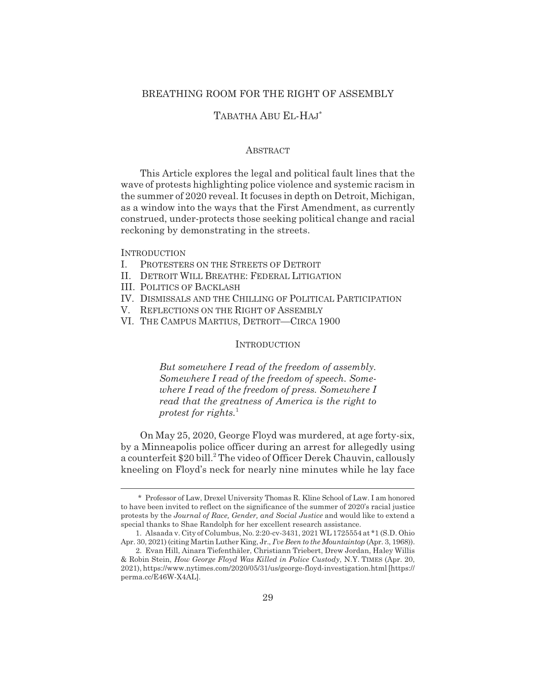### BREATHING ROOM FOR THE RIGHT OF ASSEMBLY

## TABATHA ABU EL-HAJ\*

#### **ABSTRACT**

This Article explores the legal and political fault lines that the wave of protests highlighting police violence and systemic racism in the summer of 2020 reveal. It focuses in depth on Detroit, Michigan, as a window into the ways that the First Amendment, as currently construed, under-protects those seeking political change and racial reckoning by demonstrating in the streets.

#### **INTRODUCTION**

- I. PROTESTERS ON THE STREETS OF DETROIT
- II. DETROIT WILL BREATHE: FEDERAL LITIGATION
- III. POLITICS OF BACKLASH
- IV. DISMISSALS AND THE CHILLING OF POLITICAL PARTICIPATION
- V. REFLECTIONS ON THE RIGHT OF ASSEMBLY
- VI. THE CAMPUS MARTIUS, DETROIT—CIRCA 1900

#### **INTRODUCTION**

*But somewhere I read of the freedom of assembly. Somewhere I read of the freedom of speech. Somewhere I read of the freedom of press. Somewhere I read that the greatness of America is the right to protest for rights.*<sup>1</sup>

On May 25, 2020, George Floyd was murdered, at age forty-six, by a Minneapolis police officer during an arrest for allegedly using a counterfeit \$20 bill.<sup>2</sup> The video of Officer Derek Chauvin, callously kneeling on Floyd's neck for nearly nine minutes while he lay face

<sup>\*</sup> Professor of Law, Drexel University Thomas R. Kline School of Law. I am honored to have been invited to reflect on the significance of the summer of 2020's racial justice protests by the *Journal of Race, Gender, and Social Justice* and would like to extend a special thanks to Shae Randolph for her excellent research assistance.

<sup>1.</sup> Alsaada v. City of Columbus, No. 2:20-cv-3431, 2021 WL 1725554 at \*1 (S.D. Ohio Apr. 30, 2021) (citing Martin Luther King, Jr., *I've Been to the Mountaintop* (Apr. 3, 1968)).

<sup>2.</sup> Evan Hill, Ainara Tiefenthäler, Christiann Triebert, Drew Jordan, Haley Willis & Robin Stein, *How George Floyd Was Killed in Police Custody*, N.Y. TIMES (Apr. 20, 2021), https://www.nytimes.com/2020/05/31/us/george-floyd-investigation.html [https:// perma.cc/E46W-X4AL].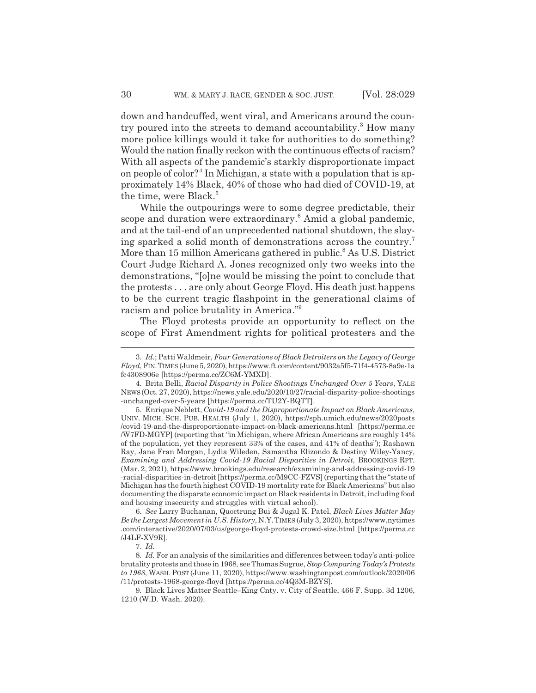down and handcuffed, went viral, and Americans around the country poured into the streets to demand accountability.<sup>3</sup> How many more police killings would it take for authorities to do something? Would the nation finally reckon with the continuous effects of racism? With all aspects of the pandemic's starkly disproportionate impact on people of color?<sup>4</sup> In Michigan, a state with a population that is approximately 14% Black, 40% of those who had died of COVID-19, at the time, were Black.<sup>5</sup>

While the outpourings were to some degree predictable, their scope and duration were extraordinary.<sup>6</sup> Amid a global pandemic, and at the tail-end of an unprecedented national shutdown, the slaying sparked a solid month of demonstrations across the country.7 More than 15 million Americans gathered in public.<sup>8</sup> As U.S. District Court Judge Richard A. Jones recognized only two weeks into the demonstrations, "[o]ne would be missing the point to conclude that the protests . . . are only about George Floyd. His death just happens to be the current tragic flashpoint in the generational claims of racism and police brutality in America."9

The Floyd protests provide an opportunity to reflect on the scope of First Amendment rights for political protesters and the

6. *See* Larry Buchanan, Quoctrung Bui & Jugal K. Patel, *Black Lives Matter May Be the Largest Movement in U.S. History*, N.Y.TIMES (July 3, 2020), https://www.nytimes .com/interactive/2020/07/03/us/george-floyd-protests-crowd-size.html [https://perma.cc /J4LF-XV9R].

<sup>3.</sup> *Id.*; Patti Waldmeir, *Four Generations of Black Detroiters on the Legacy of George Floyd*, FIN.TIMES (June 5, 2020), https://www.ft.com/content/9032a5f5-71f4-4573-8a9e-1a fc4308906e [https://perma.cc/ZC6M-YMXD].

<sup>4.</sup> Brita Belli, *Racial Disparity in Police Shootings Unchanged Over 5 Years*, YALE NEWS(Oct. 27, 2020), https://news.yale.edu/2020/10/27/racial-disparity-police-shootings -unchanged-over-5-years [https://perma.cc/TU2Y-BQTT].

<sup>5.</sup> Enrique Neblett, *Covid-19 and the Disproportionate Impact on Black Americans*, UNIV. MICH. SCH. PUB. HEALTH (July 1, 2020), https://sph.umich.edu/news/2020posts /covid-19-and-the-disproportionate-impact-on-black-americans.html [https://perma.cc /W7FD-MGYP] (reporting that "in Michigan, where African Americans are roughly 14% of the population, yet they represent 33% of the cases, and 41% of deaths"); Rashawn Ray, Jane Fran Morgan, Lydia Wileden, Samantha Elizondo & Destiny Wiley-Yancy, *Examining and Addressing Covid-19 Racial Disparities in Detroit*, BROOKINGS RPT. (Mar. 2, 2021), https://www.brookings.edu/research/examining-and-addressing-covid-19 -racial-disparities-in-detroit [https://perma.cc/M9CC-FZVS] (reporting that the "state of Michigan has the fourth highest COVID-19 mortality rate for Black Americans" but also documenting the disparate economic impact on Black residents in Detroit, including food and housing insecurity and struggles with virtual school).

<sup>7.</sup> *Id.*

<sup>8.</sup> *Id.* For an analysis of the similarities and differences between today's anti-police brutality protests and those in 1968, see Thomas Sugrue, *Stop Comparing Today's Protests to 1968*, WASH. POST (June 11, 2020), https://www.washingtonpost.com/outlook/2020/06 /11/protests-1968-george-floyd [https://perma.cc/4Q3M-BZYS].

<sup>9.</sup> Black Lives Matter Seattle–King Cnty. v. City of Seattle, 466 F. Supp. 3d 1206, 1210 (W.D. Wash. 2020).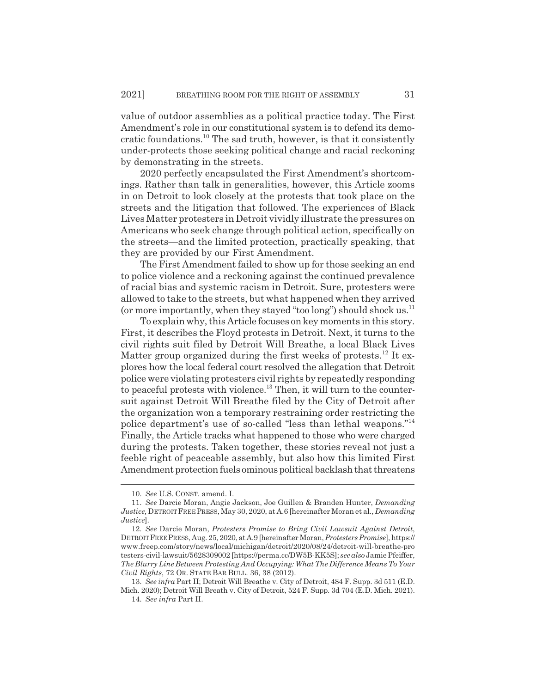value of outdoor assemblies as a political practice today. The First Amendment's role in our constitutional system is to defend its democratic foundations.10 The sad truth, however, is that it consistently under-protects those seeking political change and racial reckoning by demonstrating in the streets.

2020 perfectly encapsulated the First Amendment's shortcomings. Rather than talk in generalities, however, this Article zooms in on Detroit to look closely at the protests that took place on the streets and the litigation that followed. The experiences of Black Lives Matter protesters in Detroit vividly illustrate the pressures on Americans who seek change through political action, specifically on the streets—and the limited protection, practically speaking, that they are provided by our First Amendment.

The First Amendment failed to show up for those seeking an end to police violence and a reckoning against the continued prevalence of racial bias and systemic racism in Detroit. Sure, protesters were allowed to take to the streets, but what happened when they arrived (or more importantly, when they stayed "too long") should shock us.<sup>11</sup>

To explain why, this Article focuses on key moments in this story. First, it describes the Floyd protests in Detroit. Next, it turns to the civil rights suit filed by Detroit Will Breathe, a local Black Lives Matter group organized during the first weeks of protests.<sup>12</sup> It explores how the local federal court resolved the allegation that Detroit police were violating protesters civil rights by repeatedly responding to peaceful protests with violence.<sup>13</sup> Then, it will turn to the countersuit against Detroit Will Breathe filed by the City of Detroit after the organization won a temporary restraining order restricting the police department's use of so-called "less than lethal weapons."<sup>14</sup> Finally, the Article tracks what happened to those who were charged during the protests. Taken together, these stories reveal not just a feeble right of peaceable assembly, but also how this limited First Amendment protection fuels ominous political backlash that threatens

<sup>10.</sup> *See* U.S. CONST. amend. I.

<sup>11.</sup> *See* Darcie Moran, Angie Jackson, Joe Guillen & Branden Hunter, *Demanding Justice,* DETROITFREE PRESS, May 30, 2020, at A.6 [hereinafter Moran et al., *Demanding Justice*].

<sup>12.</sup> *See* Darcie Moran, *Protesters Promise to Bring Civil Lawsuit Against Detroit*, DETROITFREEPRESS, Aug. 25, 2020, at A.9 [hereinafter Moran, *Protesters Promise*], https:// www.freep.com/story/news/local/michigan/detroit/2020/08/24/detroit-will-breathe-pro testers-civil-lawsuit/5628309002 [https://perma.cc/DW5B-KK5S]; *see also* Jamie Pfeiffer, *The Blurry Line Between Protesting And Occupying: What The Difference Means To Your Civil Rights*, 72 OR. STATE BAR BULL. 36, 38 (2012).

<sup>13.</sup> *See infra* Part II; Detroit Will Breathe v. City of Detroit, 484 F. Supp. 3d 511 (E.D. Mich. 2020); Detroit Will Breath v. City of Detroit, 524 F. Supp. 3d 704 (E.D. Mich. 2021).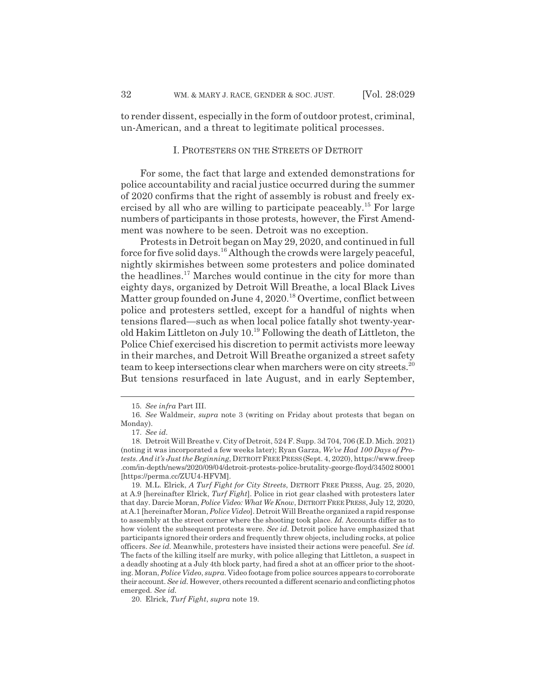to render dissent, especially in the form of outdoor protest, criminal, un-American, and a threat to legitimate political processes.

#### I. PROTESTERS ON THE STREETS OF DETROIT

For some, the fact that large and extended demonstrations for police accountability and racial justice occurred during the summer of 2020 confirms that the right of assembly is robust and freely exercised by all who are willing to participate peaceably.<sup>15</sup> For large numbers of participants in those protests, however, the First Amendment was nowhere to be seen. Detroit was no exception.

Protests in Detroit began on May 29, 2020, and continued in full force for five solid days.16 Although the crowds were largely peaceful, nightly skirmishes between some protesters and police dominated the headlines.<sup>17</sup> Marches would continue in the city for more than eighty days, organized by Detroit Will Breathe, a local Black Lives Matter group founded on June 4, 2020.<sup>18</sup> Overtime, conflict between police and protesters settled, except for a handful of nights when tensions flared—such as when local police fatally shot twenty-yearold Hakim Littleton on July 10.19 Following the death of Littleton, the Police Chief exercised his discretion to permit activists more leeway in their marches, and Detroit Will Breathe organized a street safety team to keep intersections clear when marchers were on city streets.<sup>20</sup> But tensions resurfaced in late August, and in early September,

20. Elrick, *Turf Fight*, *supra* note 19.

<sup>15.</sup> *See infra* Part III.

<sup>16.</sup> *See* Waldmeir, *supra* note 3 (writing on Friday about protests that began on Monday).

<sup>17.</sup> *See id.*

<sup>18.</sup> Detroit Will Breathe v. City of Detroit, 524 F. Supp. 3d 704, 706 (E.D. Mich. 2021) (noting it was incorporated a few weeks later); Ryan Garza, *We've Had 100 Days of Protests. And it's Just the Beginning*, DETROITFREE PRESS(Sept. 4, 2020), https://www.freep .com/in-depth/news/2020/09/04/detroit-protests-police-brutality-george-floyd/34502 80001 [https://perma.cc/ZUU4-HFVM].

<sup>19.</sup> M.L. Elrick, *A Turf Fight for City Streets*, DETROIT FREE PRESS, Aug. 25, 2020, at A.9 [hereinafter Elrick, *Turf Fight*]. Police in riot gear clashed with protesters later that day. Darcie Moran, *Police Video: What We Know*, DETROIT FREE PRESS, July 12, 2020, at A.1 [hereinafter Moran, *Police Video*]. Detroit Will Breathe organized a rapid response to assembly at the street corner where the shooting took place. *Id.* Accounts differ as to how violent the subsequent protests were. *See id.* Detroit police have emphasized that participants ignored their orders and frequently threw objects, including rocks, at police officers. *See id.* Meanwhile, protesters have insisted their actions were peaceful. *See id.* The facts of the killing itself are murky, with police alleging that Littleton, a suspect in a deadly shooting at a July 4th block party, had fired a shot at an officer prior to the shooting. Moran, *Police Video*, *supra*. Video footage from police sources appears to corroborate their account. *See id.* However, others recounted a different scenario and conflicting photos emerged. *See id.*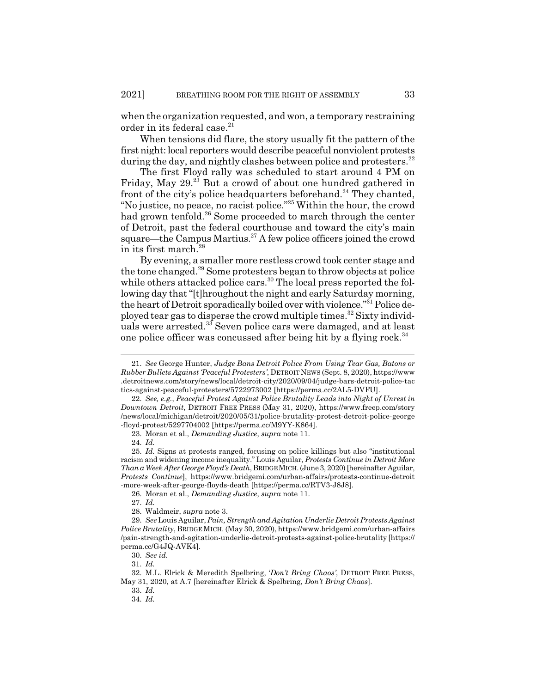when the organization requested, and won, a temporary restraining order in its federal case.<sup>21</sup>

When tensions did flare, the story usually fit the pattern of the first night: local reporters would describe peaceful nonviolent protests during the day, and nightly clashes between police and protesters. $^{22}$ 

The first Floyd rally was scheduled to start around 4 PM on Friday, May 29.<sup>23</sup> But a crowd of about one hundred gathered in front of the city's police headquarters beforehand.<sup>24</sup> They chanted, "No justice, no peace, no racist police."25 Within the hour, the crowd had grown tenfold.<sup>26</sup> Some proceeded to march through the center of Detroit, past the federal courthouse and toward the city's main square—the Campus Martius.<sup>27</sup> A few police officers joined the crowd in its first march.<sup>28</sup>

By evening, a smaller more restless crowd took center stage and the tone changed.29 Some protesters began to throw objects at police while others attacked police cars.<sup>30</sup> The local press reported the following day that "[t]hroughout the night and early Saturday morning, the heart of Detroit sporadically boiled over with violence."31 Police deployed tear gas to disperse the crowd multiple times.<sup>32</sup> Sixty individuals were arrested.<sup>33</sup> Seven police cars were damaged, and at least one police officer was concussed after being hit by a flying rock.<sup>34</sup>

26. Moran et al., *Demanding Justice*, *supra* note 11.

27. *Id.*

28. Waldmeir, *supra* note 3.

33. *Id.*

<sup>21.</sup> *See* George Hunter, *Judge Bans Detroit Police From Using Tear Gas, Batons or Rubber Bullets Against 'Peaceful Protesters'*, DETROIT NEWS (Sept. 8, 2020), https://www .detroitnews.com/story/news/local/detroit-city/2020/09/04/judge-bars-detroit-police-tac tics-against-peaceful-protesters/5722973002 [https://perma.cc/2AL5-DVFU].

<sup>22.</sup> *See, e.g.*, *Peaceful Protest Against Police Brutality Leads into Night of Unrest in Downtown Detroit*, DETROIT FREE PRESS (May 31, 2020), https://www.freep.com/story /news/local/michigan/detroit/2020/05/31/police-brutality-protest-detroit-police-george -floyd-protest/5297704002 [https://perma.cc/M9YY-K864].

<sup>23.</sup> Moran et al., *Demanding Justice*, *supra* note 11.

<sup>24.</sup> *Id.*

<sup>25.</sup> *Id.* Signs at protests ranged, focusing on police killings but also "institutional racism and widening income inequality." Louis Aguilar, *Protests Continue in Detroit More Than a Week After George Floyd's Death*, BRIDGEMICH. (June 3, 2020) [hereinafter Aguilar, *Protests Continue*], https://www.bridgemi.com/urban-affairs/protests-continue-detroit -more-week-after-george-floyds-death [https://perma.cc/RTV3-J8J8].

<sup>29.</sup> *See*Louis Aguilar, *Pain, Strength and Agitation Underlie Detroit Protests Against Police Brutality*, BRIDGEMICH. (May 30, 2020), https://www.bridgemi.com/urban-affairs /pain-strength-and-agitation-underlie-detroit-protests-against-police-brutality [https:// perma.cc/G4JQ-AVK4].

<sup>30.</sup> *See id.*

<sup>31.</sup> *Id.*

<sup>32.</sup> M.L. Elrick & Meredith Spelbring, '*Don't Bring Chaos'*, DETROIT FREE PRESS, May 31, 2020, at A.7 [hereinafter Elrick & Spelbring, *Don't Bring Chaos*].

<sup>34.</sup> *Id.*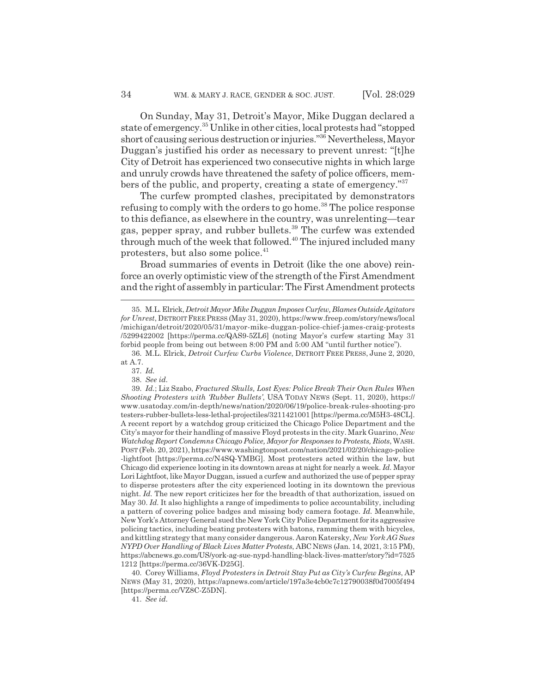On Sunday, May 31, Detroit's Mayor, Mike Duggan declared a state of emergency.35 Unlike in other cities, local protests had "stopped short of causing serious destruction or injuries."36 Nevertheless, Mayor Duggan's justified his order as necessary to prevent unrest: "[t]he City of Detroit has experienced two consecutive nights in which large and unruly crowds have threatened the safety of police officers, members of the public, and property, creating a state of emergency."37

The curfew prompted clashes, precipitated by demonstrators refusing to comply with the orders to go home.<sup>38</sup> The police response to this defiance, as elsewhere in the country, was unrelenting—tear gas, pepper spray, and rubber bullets.39 The curfew was extended through much of the week that followed. $40$  The injured included many protesters, but also some police.<sup>41</sup>

Broad summaries of events in Detroit (like the one above) reinforce an overly optimistic view of the strength of the First Amendment and the right of assembly in particular: The First Amendment protects

41. *See id.*

<sup>35.</sup> M.L. Elrick, *Detroit Mayor Mike Duggan Imposes Curfew, Blames Outside Agitators for Unrest*, DETROITFREE PRESS (May 31, 2020), https://www.freep.com/story/news/local /michigan/detroit/2020/05/31/mayor-mike-duggan-police-chief-james-craig-protests /5299422002 [https://perma.cc/QAS9-5ZL6] (noting Mayor's curfew starting May 31 forbid people from being out between 8:00 PM and 5:00 AM "until further notice").

<sup>36.</sup> M.L. Elrick, *Detroit Curfew Curbs Violence*, DETROIT FREE PRESS, June 2, 2020, at A.7.

<sup>37.</sup> *Id.*

<sup>38.</sup> *See id.*

<sup>39.</sup> *Id.*; Liz Szabo, *Fractured Skulls, Lost Eyes: Police Break Their Own Rules When Shooting Protesters with 'Rubber Bullets'*, USA TODAY NEWS (Sept. 11, 2020), https:// www.usatoday.com/in-depth/news/nation/2020/06/19/police-break-rules-shooting-pro testers-rubber-bullets-less-lethal-projectiles/3211421001 [https://perma.cc/M5H3-48CL]. A recent report by a watchdog group criticized the Chicago Police Department and the City's mayor for their handling of massive Floyd protests in the city. Mark Guarino, *New Watchdog Report Condemns Chicago Police, Mayor for Responses to Protests, Riots*, WASH. POST (Feb. 20, 2021), https://www.washingtonpost.com/nation/2021/02/20/chicago-police -lightfoot [https://perma.cc/N4SQ-YMBG]. Most protesters acted within the law, but Chicago did experience looting in its downtown areas at night for nearly a week. *Id.* Mayor Lori Lightfoot, like Mayor Duggan, issued a curfew and authorized the use of pepper spray to disperse protesters after the city experienced looting in its downtown the previous night. *Id.* The new report criticizes her for the breadth of that authorization, issued on May 30. *Id.* It also highlights a range of impediments to police accountability, including a pattern of covering police badges and missing body camera footage. *Id.* Meanwhile, New York's Attorney General sued the New York City Police Department for its aggressive policing tactics, including beating protesters with batons, ramming them with bicycles, and kittling strategy that many consider dangerous. Aaron Katersky, *New York AG Sues NYPD Over Handling of Black Lives Matter Protests*, ABC NEWS (Jan. 14, 2021, 3:15 PM), https://abcnews.go.com/US/york-ag-sue-nypd-handling-black-lives-matter/story?id=7525 1212 [https://perma.cc/36VK-D25G].

<sup>40.</sup> Corey Williams, *Floyd Protesters in Detroit Stay Put as City's Curfew Begins*, AP NEWS (May 31, 2020), https://apnews.com/article/197a3e4cb0c7c12790038f0d7005f494 [https://perma.cc/VZ8C-Z5DN].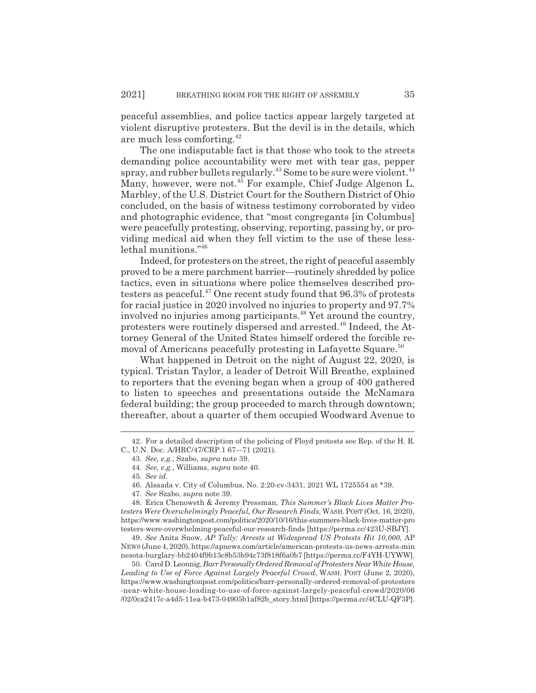peaceful assemblies, and police tactics appear largely targeted at violent disruptive protesters. But the devil is in the details, which are much less comforting.42

The one indisputable fact is that those who took to the streets demanding police accountability were met with tear gas, pepper spray, and rubber bullets regularly.<sup>43</sup> Some to be sure were violent.<sup>44</sup> Many, however, were not.<sup>45</sup> For example, Chief Judge Algenon L. Marbley, of the U.S. District Court for the Southern District of Ohio concluded, on the basis of witness testimony corroborated by video and photographic evidence, that "most congregants [in Columbus] were peacefully protesting, observing, reporting, passing by, or providing medical aid when they fell victim to the use of these lesslethal munitions."46

Indeed, for protesters on the street, the right of peaceful assembly proved to be a mere parchment barrier—routinely shredded by police tactics, even in situations where police themselves described protesters as peaceful.<sup>47</sup> One recent study found that 96.3% of protests for racial justice in 2020 involved no injuries to property and 97.7% involved no injuries among participants.<sup>48</sup> Yet around the country, protesters were routinely dispersed and arrested.49 Indeed, the Attorney General of the United States himself ordered the forcible removal of Americans peacefully protesting in Lafayette Square.<sup>50</sup>

What happened in Detroit on the night of August 22, 2020, is typical. Tristan Taylor, a leader of Detroit Will Breathe, explained to reporters that the evening began when a group of 400 gathered to listen to speeches and presentations outside the McNamara federal building; the group proceeded to march through downtown; thereafter, about a quarter of them occupied Woodward Avenue to

49. *See* Anita Snow, *AP Tally: Arrests at Widespread US Protests Hit 10,000*, AP NEWS (June 4, 2020), https://apnews.com/article/american-protests-us-news-arrests-min nesota-burglary-bb2404f9b13c8b53b94c73f818f6a0b7 [https://perma.cc/F4YH-UYWW].

50. Carol D. Leonnig, *Barr Personally Ordered Removal of Protesters Near White House, Leading to Use of Force Against Largely Peaceful Crowd*, WASH. POST (June 2, 2020), https://www.washingtonpost.com/politics/barr-personally-ordered-removal-of-protesters -near-white-house-leading-to-use-of-force-against-largely-peaceful-crowd/2020/06 /02/0ca2417c-a4d5-11ea-b473-04905b1af82b\_story.html [https://perma.cc/4CLU-QF3P].

<sup>42.</sup> For a detailed description of the policing of Floyd protests see Rep. of the H. R. C., U.N. Doc. A/HRC/47/CRP.1 67-–71 (2021).

<sup>43.</sup> *See, e.g.*, Szabo, *supra* note 39.

<sup>44.</sup> *See, e.g.*, Williams, *supra* note 40.

<sup>45.</sup> *See id.*

<sup>46.</sup> Alsaada v. City of Columbus, No. 2:20-cv-3431, 2021 WL 1725554 at \*39.

<sup>47.</sup> *See* Szabo, *supra* note 39.

<sup>48.</sup> Erica Chenoweth & Jeremy Pressman, *This Summer's Black Lives Matter Protesters Were Overwhelmingly Peaceful, Our Research Finds*, WASH. POST (Oct. 16, 2020), https://www.washingtonpost.com/politics/2020/10/16/this-summers-black-lives-matter-pro testers-were-overwhelming-peaceful-our-research-finds [https://perma.cc/423U-SBJY].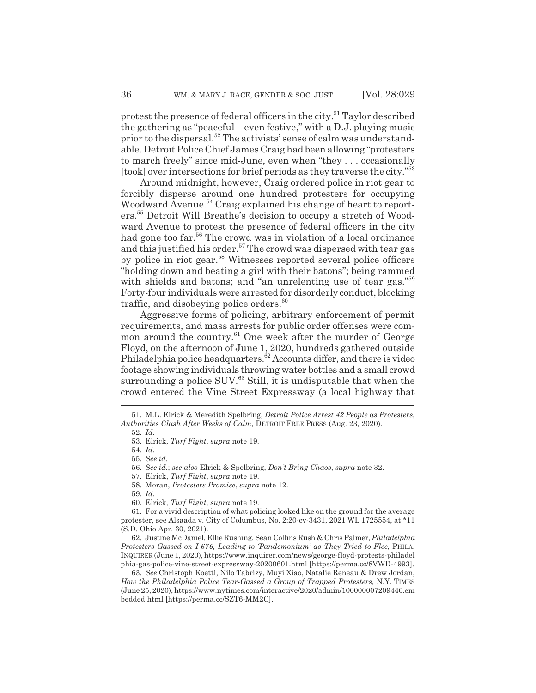protest the presence of federal officers in the city.51 Taylor described the gathering as "peaceful—even festive," with a D.J. playing music prior to the dispersal.52 The activists' sense of calm was understandable. Detroit Police Chief James Craig had been allowing "protesters to march freely" since mid-June, even when "they . . . occasionally [took] over intersections for brief periods as they traverse the city."<sup>53</sup>

Around midnight, however, Craig ordered police in riot gear to forcibly disperse around one hundred protesters for occupying Woodward Avenue.<sup>54</sup> Craig explained his change of heart to reporters.55 Detroit Will Breathe's decision to occupy a stretch of Woodward Avenue to protest the presence of federal officers in the city had gone too far.<sup>56</sup> The crowd was in violation of a local ordinance and this justified his order.<sup>57</sup> The crowd was dispersed with tear gas by police in riot gear.<sup>58</sup> Witnesses reported several police officers "holding down and beating a girl with their batons"; being rammed with shields and batons; and "an unrelenting use of tear gas."<sup>59</sup> Forty-four individuals were arrested for disorderly conduct, blocking traffic, and disobeying police orders. $60$ 

Aggressive forms of policing, arbitrary enforcement of permit requirements, and mass arrests for public order offenses were common around the country.<sup>61</sup> One week after the murder of George Floyd, on the afternoon of June 1, 2020, hundreds gathered outside Philadelphia police headquarters.<sup>62</sup> Accounts differ, and there is video footage showing individuals throwing water bottles and a small crowd surrounding a police  $\text{SUV}^{63}$  Still, it is undisputable that when the crowd entered the Vine Street Expressway (a local highway that

57. Elrick, *Turf Fight*, *supra* note 19.

59. *Id.*

60. Elrick, *Turf Fight*, *supra* note 19.

61. For a vivid description of what policing looked like on the ground for the average protester, see Alsaada v. City of Columbus, No. 2:20-cv-3431, 2021 WL 1725554, at \*11 (S.D. Ohio Apr. 30, 2021).

62. Justine McDaniel, Ellie Rushing, Sean Collins Rush & Chris Palmer, *Philadelphia Protesters Gassed on I-676, Leading to 'Pandemonium' as They Tried to Flee*, PHILA. INQUIRER (June 1, 2020), https://www.inquirer.com/news/george-floyd-protests-philadel phia-gas-police-vine-street-expressway-20200601.html [https://perma.cc/8VWD-4993].

63. *See* Christoph Koettl, Nilo Tabrizy, Muyi Xiao, Natalie Reneau & Drew Jordan, *How the Philadelphia Police Tear-Gassed a Group of Trapped Protesters*, N.Y. TIMES (June 25, 2020), https://www.nytimes.com/interactive/2020/admin/100000007209446.em bedded.html [https://perma.cc/SZT6-MM2C].

<sup>51.</sup> M.L. Elrick & Meredith Spelbring, *Detroit Police Arrest 42 People as Protesters, Authorities Clash After Weeks of Calm*, DETROIT FREE PRESS (Aug. 23, 2020).

<sup>52.</sup> *Id.*

<sup>53.</sup> Elrick, *Turf Fight*, *supra* note 19.

<sup>54.</sup> *Id.*

<sup>55.</sup> *See id.*

<sup>56.</sup> *See id.*; *see also* Elrick & Spelbring, *Don't Bring Chaos*, *supra* note 32.

<sup>58.</sup> Moran, *Protesters Promise*, *supra* note 12.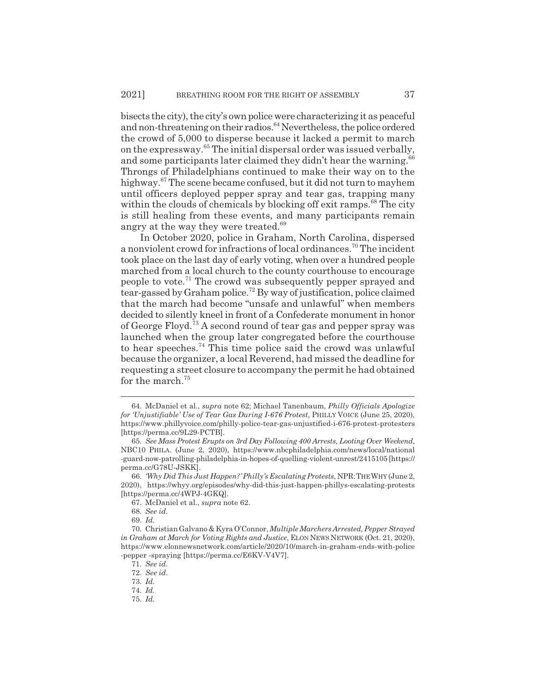bisects the city), the city's own police were characterizing it as peaceful and non-threatening on their radios.<sup>64</sup> Nevertheless, the police ordered the crowd of 5,000 to disperse because it lacked a permit to march on the expressway.65 The initial dispersal order was issued verbally, and some participants later claimed they didn't hear the warning.<sup>66</sup> Throngs of Philadelphians continued to make their way on to the highway.<sup>67</sup> The scene became confused, but it did not turn to mayhem until officers deployed pepper spray and tear gas, trapping many within the clouds of chemicals by blocking off exit ramps.<sup>68</sup> The city is still healing from these events, and many participants remain angry at the way they were treated.<sup>69</sup>

In October 2020, police in Graham, North Carolina, dispersed a nonviolent crowd for infractions of local ordinances.70 The incident took place on the last day of early voting, when over a hundred people marched from a local church to the county courthouse to encourage people to vote.71 The crowd was subsequently pepper sprayed and tear-gassed by Graham police.72 By way of justification, police claimed that the march had become "unsafe and unlawful" when members decided to silently kneel in front of a Confederate monument in honor of George Floyd.73 A second round of tear gas and pepper spray was launched when the group later congregated before the courthouse to hear speeches.74 This time police said the crowd was unlawful because the organizer, a local Reverend, had missed the deadline for requesting a street closure to accompany the permit he had obtained for the march.<sup>75</sup>

<sup>64.</sup> McDaniel et al., *supra* note 62; Michael Tanenbaum, *Philly Officials Apologize for 'Unjustifiable' Use of Tear Gas During I-676 Protest*, PHILLY VOICE (June 25, 2020), https://www.phillyvoice.com/philly-police-tear-gas-unjustified-i-676-protest-protesters [https://perma.cc/9L29-PCTB].

<sup>65.</sup> *See Mass Protest Erupts on 3rd Day Following 400 Arrests, Looting Over Weekend*, NBC10 PHILA. (June 2, 2020), https://www.nbcphiladelphia.com/news/local/national -guard-now-patrolling-philadelphia-in-hopes-of-quelling-violent-unrest/2415105 [https:// perma.cc/G78U-JSKK].

<sup>66.</sup> *'Why Did This Just Happen?' Philly's Escalating Protests*, NPR:THEWHY (June 2, 2020), https://whyy.org/episodes/why-did-this-just-happen-phillys-escalating-protests [https://perma.cc/4WPJ-4GKQ].

<sup>67.</sup> McDaniel et al., *supra* note 62.

<sup>68.</sup> *See id.*

<sup>69.</sup> *Id.*

<sup>70.</sup> Christian Galvano & Kyra O'Connor, *Multiple Marchers Arrested, Pepper Strayed in Graham at March for Voting Rights and Justice*, ELON NEWS NETWORK (Oct. 21, 2020), https://www.elonnewsnetwork.com/article/2020/10/march-in-graham-ends-with-police -pepper -spraying [https://perma.cc/E6KV-V4V7].

<sup>71.</sup> *See id.*

<sup>72.</sup> *See id.*

<sup>73.</sup> *Id.*

<sup>74.</sup> *Id.*

<sup>75.</sup> *Id.*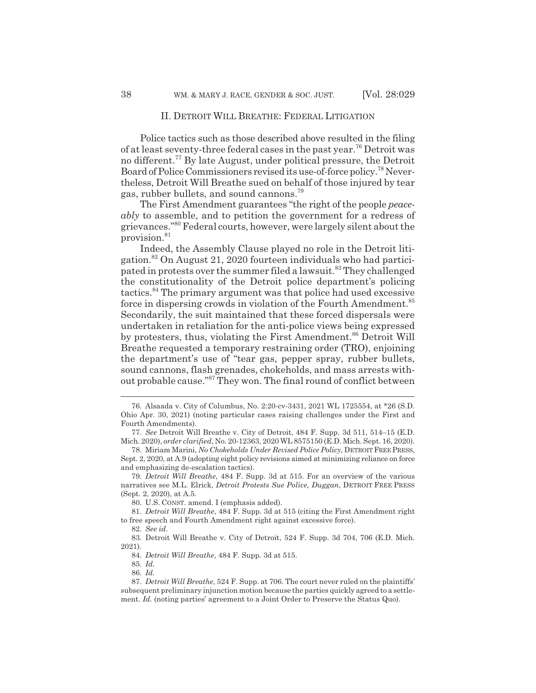Police tactics such as those described above resulted in the filing of at least seventy-three federal cases in the past year.76 Detroit was no different.77 By late August, under political pressure, the Detroit Board of Police Commissioners revised its use-of-force policy.78 Nevertheless, Detroit Will Breathe sued on behalf of those injured by tear gas, rubber bullets, and sound cannons.79

The First Amendment guarantees "the right of the people *peaceably* to assemble, and to petition the government for a redress of grievances."80 Federal courts, however, were largely silent about the provision.<sup>81</sup>

Indeed, the Assembly Clause played no role in the Detroit litigation.82 On August 21, 2020 fourteen individuals who had participated in protests over the summer filed a lawsuit.<sup>83</sup> They challenged the constitutionality of the Detroit police department's policing tactics.84 The primary argument was that police had used excessive force in dispersing crowds in violation of the Fourth Amendment.<sup>85</sup> Secondarily, the suit maintained that these forced dispersals were undertaken in retaliation for the anti-police views being expressed by protesters, thus, violating the First Amendment.<sup>86</sup> Detroit Will Breathe requested a temporary restraining order (TRO), enjoining the department's use of "tear gas, pepper spray, rubber bullets, sound cannons, flash grenades, chokeholds, and mass arrests without probable cause."87 They won. The final round of conflict between

78. Miriam Marini, *No Chokeholds Under Revised Police Policy,* DETROIT FREE PRESS, Sept. 2, 2020, at A.9 (adopting eight policy revisions aimed at minimizing reliance on force and emphasizing de-escalation tactics).

79. *Detroit Will Breathe*, 484 F. Supp. 3d at 515. For an overview of the various narratives see M.L. Elrick, *Detroit Protests Sue Police, Duggan*, DETROIT FREE PRESS (Sept. 2, 2020), at A.5.

80. U.S. CONST. amend. I (emphasis added).

81. *Detroit Will Breathe*, 484 F. Supp. 3d at 515 (citing the First Amendment right to free speech and Fourth Amendment right against excessive force).

82. *See id.*

83. Detroit Will Breathe v. City of Detroit, 524 F. Supp. 3d 704, 706 (E.D. Mich. 2021).

84. *Detroit Will Breathe*, 484 F. Supp. 3d at 515.

<sup>76.</sup> Alsaada v. City of Columbus, No. 2:20-cv-3431, 2021 WL 1725554, at \*26 (S.D. Ohio Apr. 30, 2021) (noting particular cases raising challenges under the First and Fourth Amendments).

<sup>77.</sup> *See* Detroit Will Breathe v. City of Detroit, 484 F. Supp. 3d 511, 514–15 (E.D. Mich. 2020), *order clarified*, No. 20-12363, 2020 WL 8575150 (E.D. Mich. Sept. 16, 2020).

<sup>85.</sup> *Id.*

<sup>86.</sup> *Id.*

<sup>87.</sup> *Detroit Will Breathe*, 524 F. Supp. at 706. The court never ruled on the plaintiffs' subsequent preliminary injunction motion because the parties quickly agreed to a settlement. *Id.* (noting parties' agreement to a Joint Order to Preserve the Status Quo).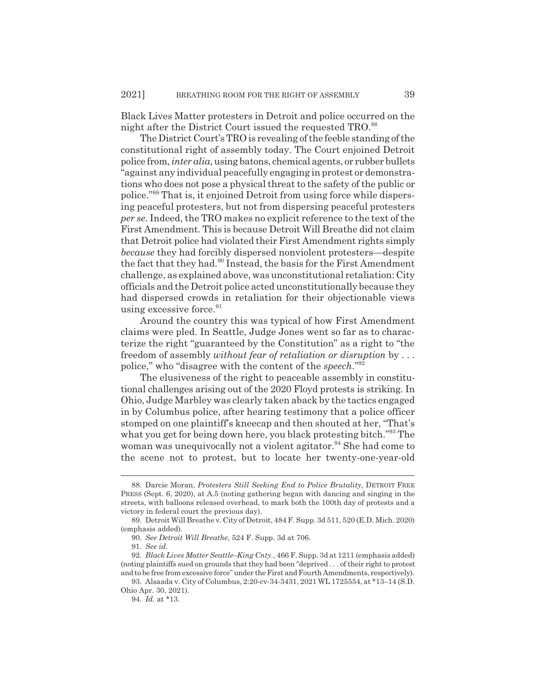Black Lives Matter protesters in Detroit and police occurred on the night after the District Court issued the requested TRO.<sup>88</sup>

The District Court's TRO is revealing of the feeble standing of the constitutional right of assembly today. The Court enjoined Detroit police from, *inter alia*, using batons, chemical agents, or rubber bullets "against any individual peacefully engaging in protest or demonstrations who does not pose a physical threat to the safety of the public or police."89 That is, it enjoined Detroit from using force while dispersing peaceful protesters, but not from dispersing peaceful protesters *per se*. Indeed, the TRO makes no explicit reference to the text of the First Amendment. This is because Detroit Will Breathe did not claim that Detroit police had violated their First Amendment rights simply *because* they had forcibly dispersed nonviolent protesters—despite the fact that they had.<sup>90</sup> Instead, the basis for the First Amendment challenge, as explained above, was unconstitutional retaliation: City officials and the Detroit police acted unconstitutionally because they had dispersed crowds in retaliation for their objectionable views using excessive force.<sup>91</sup>

Around the country this was typical of how First Amendment claims were pled. In Seattle, Judge Jones went so far as to characterize the right "guaranteed by the Constitution" as a right to "the freedom of assembly *without fear of retaliation or disruption* by . . . police," who "disagree with the content of the *speech*."92

The elusiveness of the right to peaceable assembly in constitutional challenges arising out of the 2020 Floyd protests is striking. In Ohio, Judge Marbley was clearly taken aback by the tactics engaged in by Columbus police, after hearing testimony that a police officer stomped on one plaintiff's kneecap and then shouted at her, "That's what you get for being down here, you black protesting bitch."<sup>93</sup> The woman was unequivocally not a violent agitator.<sup>94</sup> She had come to the scene not to protest, but to locate her twenty-one-year-old

<sup>88.</sup> Darcie Moran, *Protesters Still Seeking End to Police Brutality*, DETROIT FREE PRESS (Sept. 6, 2020), at A.5 (noting gathering began with dancing and singing in the streets, with balloons released overhead, to mark both the 100th day of protests and a victory in federal court the previous day).

<sup>89.</sup> Detroit Will Breathe v. City of Detroit, 484 F. Supp. 3d 511, 520 (E.D. Mich. 2020) (emphasis added).

<sup>90.</sup> *See Detroit Will Breathe*, 524 F. Supp. 3d at 706.

<sup>91.</sup> *See id.*

<sup>92.</sup> *Black Lives Matter Seattle–King Cnty.*, 466 F. Supp. 3d at 1211 (emphasis added) (noting plaintiffs sued on grounds that they had been "deprived . . . of their right to protest and to be free from excessive force" under the First and Fourth Amendments, respectively).

<sup>93.</sup> Alsaada v. City of Columbus, 2:20-cv-34-3431, 2021 WL 1725554, at \*13–14 (S.D. Ohio Apr. 30, 2021).

<sup>94.</sup> *Id.* at \*13.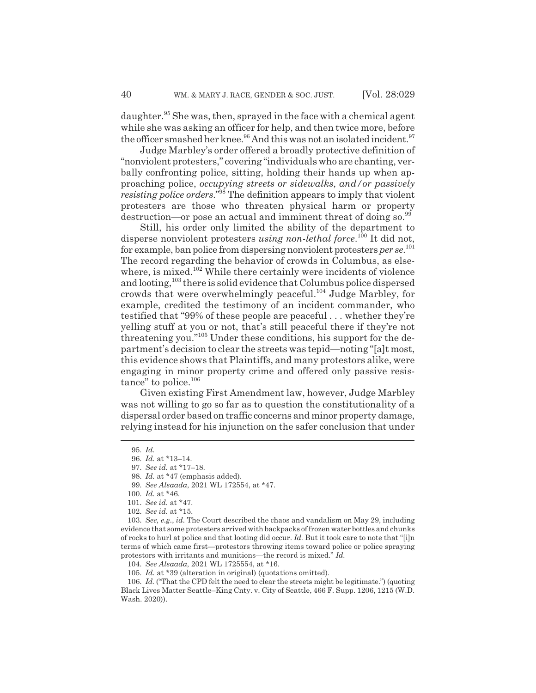daughter.<sup>95</sup> She was, then, sprayed in the face with a chemical agent while she was asking an officer for help, and then twice more, before the officer smashed her knee.<sup>96</sup> And this was not an isolated incident.<sup>97</sup>

Judge Marbley's order offered a broadly protective definition of "nonviolent protesters," covering "individuals who are chanting, verbally confronting police, sitting, holding their hands up when approaching police, *occupying streets or sidewalks*, *and/or passively resisting police orders.*"<sup>98</sup> The definition appears to imply that violent protesters are those who threaten physical harm or property destruction—or pose an actual and imminent threat of doing so.<sup>99</sup>

Still, his order only limited the ability of the department to disperse nonviolent protesters *using non-lethal force*.<sup>100</sup> It did not, for example, ban police from dispersing nonviolent protesters *per se*. 101 The record regarding the behavior of crowds in Columbus, as elsewhere, is mixed.<sup>102</sup> While there certainly were incidents of violence and looting,<sup>103</sup> there is solid evidence that Columbus police dispersed crowds that were overwhelmingly peaceful.104 Judge Marbley, for example, credited the testimony of an incident commander, who testified that "99% of these people are peaceful . . . whether they're yelling stuff at you or not, that's still peaceful there if they're not threatening you."105 Under these conditions, his support for the department's decision to clear the streets was tepid—noting "[a]t most, this evidence shows that Plaintiffs, and many protestors alike, were engaging in minor property crime and offered only passive resistance" to police.<sup>106</sup>

Given existing First Amendment law, however, Judge Marbley was not willing to go so far as to question the constitutionality of a dispersal order based on traffic concerns and minor property damage, relying instead for his injunction on the safer conclusion that under

106. *Id.* ("That the CPD felt the need to clear the streets might be legitimate.") (quoting Black Lives Matter Seattle–King Cnty. v. City of Seattle, 466 F. Supp. 1206, 1215 (W.D. Wash. 2020)).

<sup>95.</sup> *Id.*

<sup>96.</sup> *Id.* at \*13–14.

<sup>97.</sup> *See id.* at \*17–18.

<sup>98.</sup> *Id.* at \*47 (emphasis added).

<sup>99.</sup> *See Alsaada*, 2021 WL 172554, at \*47.

<sup>100.</sup> *Id.* at \*46.

<sup>101.</sup> *See id.* at \*47.

<sup>102.</sup> *See id.* at \*15.

<sup>103.</sup> *See, e.g.*, *id.* The Court described the chaos and vandalism on May 29, including evidence that some protesters arrived with backpacks of frozen water bottles and chunks of rocks to hurl at police and that looting did occur. *Id.* But it took care to note that "[i]n terms of which came first—protestors throwing items toward police or police spraying protestors with irritants and munitions—the record is mixed." *Id.*

<sup>104.</sup> *See Alsaada*, 2021 WL 1725554, at \*16.

<sup>105.</sup> *Id.* at \*39 (alteration in original) (quotations omitted).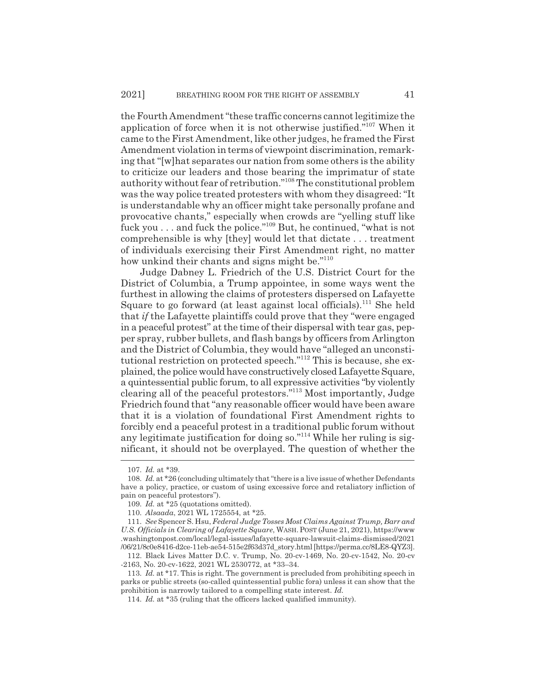the Fourth Amendment "these traffic concerns cannot legitimize the application of force when it is not otherwise justified."107 When it came to the First Amendment, like other judges, he framed the First Amendment violation in terms of viewpoint discrimination, remarking that "[w]hat separates our nation from some others is the ability to criticize our leaders and those bearing the imprimatur of state authority without fear of retribution."108 The constitutional problem was the way police treated protesters with whom they disagreed: "It is understandable why an officer might take personally profane and provocative chants," especially when crowds are "yelling stuff like fuck you  $\ldots$  and fuck the police."<sup>109</sup> But, he continued, "what is not comprehensible is why [they] would let that dictate . . . treatment of individuals exercising their First Amendment right, no matter how unkind their chants and signs might be."<sup>110</sup>

Judge Dabney L. Friedrich of the U.S. District Court for the District of Columbia, a Trump appointee, in some ways went the furthest in allowing the claims of protesters dispersed on Lafayette Square to go forward (at least against local officials).<sup>111</sup> She held that *if* the Lafayette plaintiffs could prove that they "were engaged in a peaceful protest" at the time of their dispersal with tear gas, pepper spray, rubber bullets, and flash bangs by officers from Arlington and the District of Columbia, they would have "alleged an unconstitutional restriction on protected speech."112 This is because, she explained, the police would have constructively closed Lafayette Square, a quintessential public forum, to all expressive activities "by violently clearing all of the peaceful protestors."113 Most importantly, Judge Friedrich found that "any reasonable officer would have been aware that it is a violation of foundational First Amendment rights to forcibly end a peaceful protest in a traditional public forum without any legitimate justification for doing so."114 While her ruling is significant, it should not be overplayed. The question of whether the

<sup>107.</sup> *Id.* at \*39.

<sup>108.</sup> *Id.* at \*26 (concluding ultimately that "there is a live issue of whether Defendants have a policy, practice, or custom of using excessive force and retaliatory infliction of pain on peaceful protestors").

<sup>109.</sup> *Id.* at \*25 (quotations omitted).

<sup>110.</sup> *Alsaada*, 2021 WL 1725554, at \*25.

<sup>111.</sup> *See* Spencer S. Hsu, *Federal Judge Tosses Most Claims Against Trump, Barr and U.S. Officials in Clearing of Lafayette Square*, WASH. POST (June 21, 2021), https://www .washingtonpost.com/local/legal-issues/lafayette-square-lawsuit-claims-dismissed/2021 /06/21/8c0e8416-d2ce-11eb-ae54-515e2f63d37d\_story.html [https://perma.cc/8LE8-QYZ3].

<sup>112.</sup> Black Lives Matter D.C. v. Trump, No. 20-cv-1469, No. 20-cv-1542, No. 20-cv -2163, No. 20-cv-1622, 2021 WL 2530772, at \*33–34.

<sup>113.</sup> *Id.* at \*17. This is right. The government is precluded from prohibiting speech in parks or public streets (so-called quintessential public fora) unless it can show that the prohibition is narrowly tailored to a compelling state interest. *Id.*

<sup>114.</sup> *Id.* at \*35 (ruling that the officers lacked qualified immunity).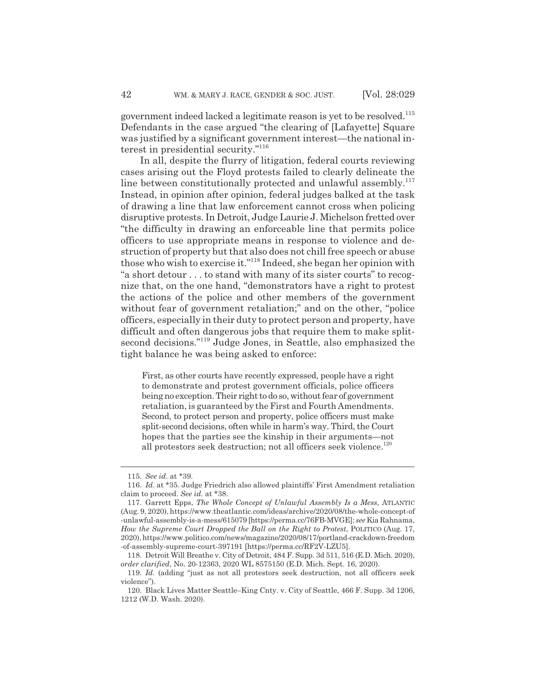government indeed lacked a legitimate reason is yet to be resolved.<sup>115</sup> Defendants in the case argued "the clearing of [Lafayette] Square was justified by a significant government interest—the national interest in presidential security."116

In all, despite the flurry of litigation, federal courts reviewing cases arising out the Floyd protests failed to clearly delineate the line between constitutionally protected and unlawful assembly.117 Instead, in opinion after opinion, federal judges balked at the task of drawing a line that law enforcement cannot cross when policing disruptive protests. In Detroit, Judge Laurie J. Michelson fretted over "the difficulty in drawing an enforceable line that permits police officers to use appropriate means in response to violence and destruction of property but that also does not chill free speech or abuse those who wish to exercise it."118 Indeed, she began her opinion with "a short detour . . . to stand with many of its sister courts" to recognize that, on the one hand, "demonstrators have a right to protest the actions of the police and other members of the government without fear of government retaliation;" and on the other, "police" officers, especially in their duty to protect person and property, have difficult and often dangerous jobs that require them to make splitsecond decisions."119 Judge Jones, in Seattle, also emphasized the tight balance he was being asked to enforce:

First, as other courts have recently expressed, people have a right to demonstrate and protest government officials, police officers being no exception. Their right to do so, without fear of government retaliation, is guaranteed by the First and Fourth Amendments. Second, to protect person and property, police officers must make split-second decisions, often while in harm's way. Third, the Court hopes that the parties see the kinship in their arguments—not all protestors seek destruction; not all officers seek violence.<sup>120</sup>

<sup>115.</sup> *See id.* at \*39.

<sup>116.</sup> *Id.* at \*35. Judge Friedrich also allowed plaintiffs' First Amendment retaliation claim to proceed. *See id.* at \*38.

<sup>117.</sup> Garrett Epps, *The Whole Concept of Unlawful Assembly Is a Mess*, ATLANTIC (Aug. 9, 2020), https://www.theatlantic.com/ideas/archive/2020/08/the-whole-concept-of -unlawful-assembly-is-a-mess/615079 [https://perma.cc/76FB-MVGE]; *see* Kia Rahnama, *How the Supreme Court Dropped the Ball on the Right to Protest*, POLITICO (Aug. 17, 2020), https://www.politico.com/news/magazine/2020/08/17/portland-crackdown-freedom -of-assembly-supreme-court-397191 [https://perma.cc/RF2V-LZU5].

<sup>118.</sup> Detroit Will Breathe v. City of Detroit, 484 F. Supp. 3d 511, 516 (E.D. Mich. 2020), *order clarified*, No. 20-12363, 2020 WL 8575150 (E.D. Mich. Sept. 16, 2020).

<sup>119.</sup> *Id.* (adding "just as not all protestors seek destruction, not all officers seek violence").

<sup>120.</sup> Black Lives Matter Seattle–King Cnty. v. City of Seattle, 466 F. Supp. 3d 1206, 1212 (W.D. Wash. 2020).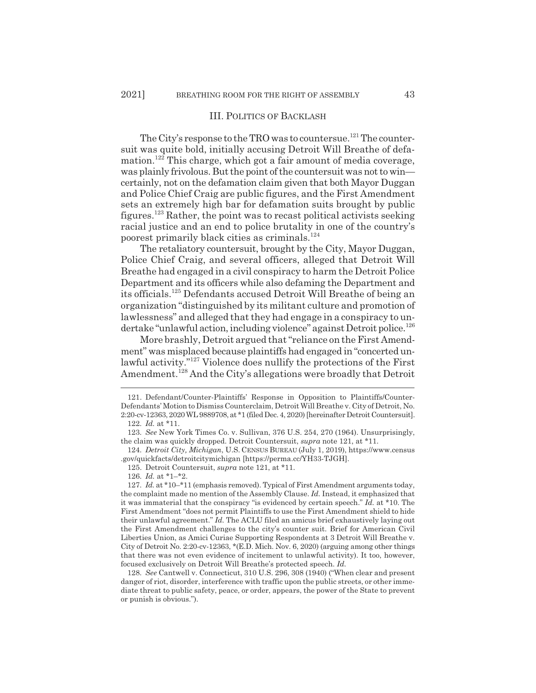#### III. POLITICS OF BACKLASH

The City's response to the TRO was to countersue.<sup>121</sup> The countersuit was quite bold, initially accusing Detroit Will Breathe of defamation.122 This charge, which got a fair amount of media coverage, was plainly frivolous. But the point of the countersuit was not to win certainly, not on the defamation claim given that both Mayor Duggan and Police Chief Craig are public figures, and the First Amendment sets an extremely high bar for defamation suits brought by public figures.123 Rather, the point was to recast political activists seeking racial justice and an end to police brutality in one of the country's poorest primarily black cities as criminals.<sup>124</sup>

The retaliatory countersuit, brought by the City, Mayor Duggan, Police Chief Craig, and several officers, alleged that Detroit Will Breathe had engaged in a civil conspiracy to harm the Detroit Police Department and its officers while also defaming the Department and its officials.125 Defendants accused Detroit Will Breathe of being an organization "distinguished by its militant culture and promotion of lawlessness" and alleged that they had engage in a conspiracy to undertake "unlawful action, including violence" against Detroit police.<sup>126</sup>

More brashly, Detroit argued that "reliance on the First Amendment" was misplaced because plaintiffs had engaged in "concerted unlawful activity."127 Violence does nullify the protections of the First Amendment.<sup>128</sup> And the City's allegations were broadly that Detroit

124. *Detroit City, Michigan*, U.S. CENSUS BUREAU (July 1, 2019), https://www.census .gov/quickfacts/detroitcitymichigan [https://perma.cc/YH33-TJGH].

125. Detroit Countersuit, *supra* note 121, at \*11.

126. *Id.* at \*1–\*2.

<sup>121.</sup> Defendant/Counter-Plaintiffs' Response in Opposition to Plaintiffs/Counter-Defendants' Motion to Dismiss Counterclaim, Detroit Will Breathe v. City of Detroit, No. 2:20-cv-12363, 2020 WL 9889708, at \*1 (filed Dec. 4, 2020) [hereinafter Detroit Countersuit]. 122. *Id.* at \*11.

<sup>123.</sup> *See* New York Times Co. v. Sullivan, 376 U.S. 254, 270 (1964). Unsurprisingly, the claim was quickly dropped. Detroit Countersuit, *supra* note 121, at \*11.

<sup>127.</sup> *Id.* at \*10–\*11 (emphasis removed). Typical of First Amendment arguments today, the complaint made no mention of the Assembly Clause. *Id.* Instead, it emphasized that it was immaterial that the conspiracy "is evidenced by certain speech." *Id.* at \*10. The First Amendment "does not permit Plaintiffs to use the First Amendment shield to hide their unlawful agreement." *Id.* The ACLU filed an amicus brief exhaustively laying out the First Amendment challenges to the city's counter suit. Brief for American Civil Liberties Union, as Amici Curiae Supporting Respondents at 3 Detroit Will Breathe v. City of Detroit No. 2:20-cv-12363, \*(E.D. Mich. Nov. 6, 2020) (arguing among other things that there was not even evidence of incitement to unlawful activity). It too, however, focused exclusively on Detroit Will Breathe's protected speech. *Id.*

<sup>128.</sup> *See* Cantwell v. Connecticut, 310 U.S. 296, 308 (1940) ("When clear and present danger of riot, disorder, interference with traffic upon the public streets, or other immediate threat to public safety, peace, or order, appears, the power of the State to prevent or punish is obvious.").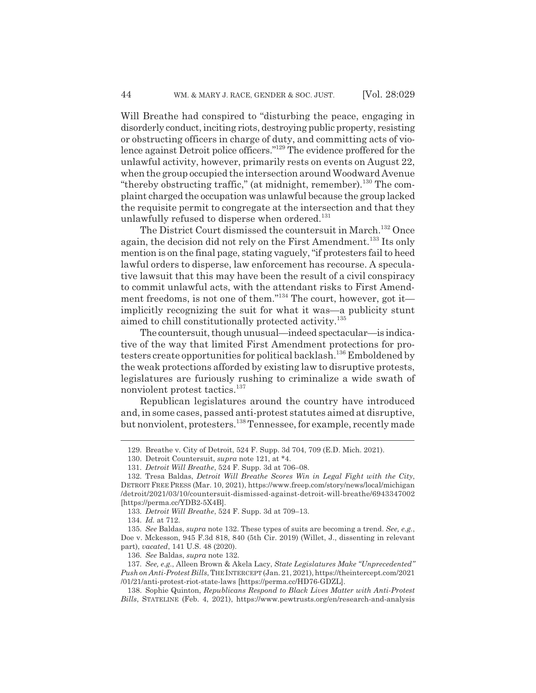Will Breathe had conspired to "disturbing the peace, engaging in disorderly conduct, inciting riots, destroying public property, resisting or obstructing officers in charge of duty, and committing acts of violence against Detroit police officers."129 The evidence proffered for the unlawful activity, however, primarily rests on events on August 22, when the group occupied the intersection around Woodward Avenue "thereby obstructing traffic," (at midnight, remember). $^{130}$  The complaint charged the occupation was unlawful because the group lacked the requisite permit to congregate at the intersection and that they unlawfully refused to disperse when ordered.<sup>131</sup>

The District Court dismissed the countersuit in March.<sup>132</sup> Once again, the decision did not rely on the First Amendment.<sup>133</sup> Its only mention is on the final page, stating vaguely, "if protesters fail to heed lawful orders to disperse, law enforcement has recourse. A speculative lawsuit that this may have been the result of a civil conspiracy to commit unlawful acts, with the attendant risks to First Amendment freedoms, is not one of them."134 The court, however, got it implicitly recognizing the suit for what it was—a publicity stunt aimed to chill constitutionally protected activity.<sup>135</sup>

The countersuit, though unusual—indeed spectacular—is indicative of the way that limited First Amendment protections for protesters create opportunities for political backlash.<sup>136</sup> Emboldened by the weak protections afforded by existing law to disruptive protests, legislatures are furiously rushing to criminalize a wide swath of nonviolent protest tactics.<sup>137</sup>

Republican legislatures around the country have introduced and, in some cases, passed anti-protest statutes aimed at disruptive, but nonviolent, protesters.138 Tennessee, for example, recently made

<sup>129.</sup> Breathe v. City of Detroit, 524 F. Supp. 3d 704, 709 (E.D. Mich. 2021).

<sup>130.</sup> Detroit Countersuit, *supra* note 121, at \*4.

<sup>131.</sup> *Detroit Will Breathe*, 524 F. Supp. 3d at 706–08.

<sup>132.</sup> Tresa Baldas, *Detroit Will Breathe Scores Win in Legal Fight with the City*, DETROIT FREE PRESS (Mar. 10, 2021), https://www.freep.com/story/news/local/michigan /detroit/2021/03/10/countersuit-dismissed-against-detroit-will-breathe/6943347002 [https://perma.cc/YDB2-5X4B].

<sup>133.</sup> *Detroit Will Breathe*, 524 F. Supp. 3d at 709–13.

<sup>134.</sup> *Id.* at 712.

<sup>135.</sup> *See* Baldas, *supra* note 132. These types of suits are becoming a trend. *See, e.g.*, Doe v. Mckesson, 945 F.3d 818, 840 (5th Cir. 2019) (Willet, J., dissenting in relevant part), *vacated*, 141 U.S. 48 (2020).

<sup>136.</sup> *See* Baldas, *supra* note 132.

<sup>137.</sup> *See, e.g.*, Alleen Brown & Akela Lacy, *State Legislatures Make "Unprecedented" Push on Anti-Protest Bills*, THEINTERCEPT (Jan. 21, 2021), https://theintercept.com/2021 /01/21/anti-protest-riot-state-laws [https://perma.cc/HD76-GDZL].

<sup>138.</sup> Sophie Quinton, *Republicans Respond to Black Lives Matter with Anti-Protest Bills*, STATELINE (Feb. 4, 2021), https://www.pewtrusts.org/en/research-and-analysis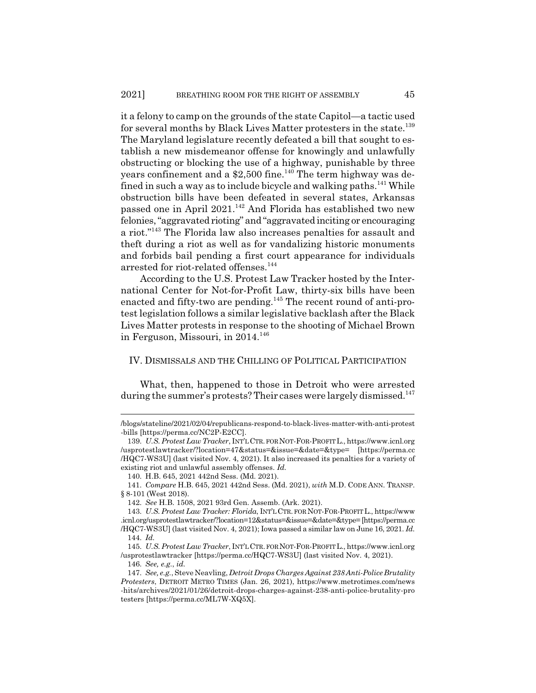it a felony to camp on the grounds of the state Capitol—a tactic used for several months by Black Lives Matter protesters in the state.<sup>139</sup> The Maryland legislature recently defeated a bill that sought to establish a new misdemeanor offense for knowingly and unlawfully obstructing or blocking the use of a highway, punishable by three years confinement and a \$2,500 fine.<sup>140</sup> The term highway was defined in such a way as to include bicycle and walking paths.<sup>141</sup> While obstruction bills have been defeated in several states, Arkansas passed one in April 2021.<sup>142</sup> And Florida has established two new felonies, "aggravated rioting" and "aggravated inciting or encouraging a riot."143 The Florida law also increases penalties for assault and theft during a riot as well as for vandalizing historic monuments and forbids bail pending a first court appearance for individuals arrested for riot-related offenses.<sup>144</sup>

According to the U.S. Protest Law Tracker hosted by the International Center for Not-for-Profit Law, thirty-six bills have been enacted and fifty-two are pending.<sup>145</sup> The recent round of anti-protest legislation follows a similar legislative backlash after the Black Lives Matter protests in response to the shooting of Michael Brown in Ferguson, Missouri, in 2014.<sup>146</sup>

#### IV. DISMISSALS AND THE CHILLING OF POLITICAL PARTICIPATION

What, then, happened to those in Detroit who were arrested during the summer's protests? Their cases were largely dismissed.<sup>147</sup>

<sup>/</sup>blogs/stateline/2021/02/04/republicans-respond-to-black-lives-matter-with-anti-protest -bills [https://perma.cc/NC2P-E2CC].

<sup>139.</sup> *U.S. Protest Law Tracker*, INT'LCTR. FOR NOT-FOR-PROFITL., https://www.icnl.org /usprotestlawtracker/?location=47&status=&issue=&date=&type= [https://perma.cc /HQC7-WS3U] (last visited Nov. 4, 2021). It also increased its penalties for a variety of existing riot and unlawful assembly offenses. *Id.*

<sup>140.</sup> H.B. 645, 2021 442nd Sess. (Md. 2021).

<sup>141.</sup> *Compare* H.B. 645, 2021 442nd Sess. (Md. 2021), *with* M.D. CODE ANN. TRANSP. § 8-101 (West 2018).

<sup>142.</sup> *See* H.B. 1508, 2021 93rd Gen. Assemb. (Ark. 2021).

<sup>143.</sup> *U.S. Protest Law Tracker: Florida*, INT'LCTR. FOR NOT-FOR-PROFITL., https://www .icnl.org/usprotestlawtracker/?location=12&status=&issue=&date=&type= [https://perma.cc /HQC7-WS3U] (last visited Nov. 4, 2021); Iowa passed a similar law on June 16, 2021. *Id.* 144. *Id.*

<sup>145.</sup> *U.S. Protest Law Tracker*, INT'LCTR. FOR NOT-FOR-PROFITL., https://www.icnl.org /usprotestlawtracker [https://perma.cc/HQC7-WS3U] (last visited Nov. 4, 2021).

<sup>146.</sup> *See, e.g.*, *id.*

<sup>147.</sup> *See, e.g.*, Steve Neavling, *Detroit Drops Charges Against 238 Anti-Police Brutality Protesters*, DETROIT METRO TIMES (Jan. 26, 2021), https://www.metrotimes.com/news -hits/archives/2021/01/26/detroit-drops-charges-against-238-anti-police-brutality-pro testers [https://perma.cc/ML7W-XQ5X].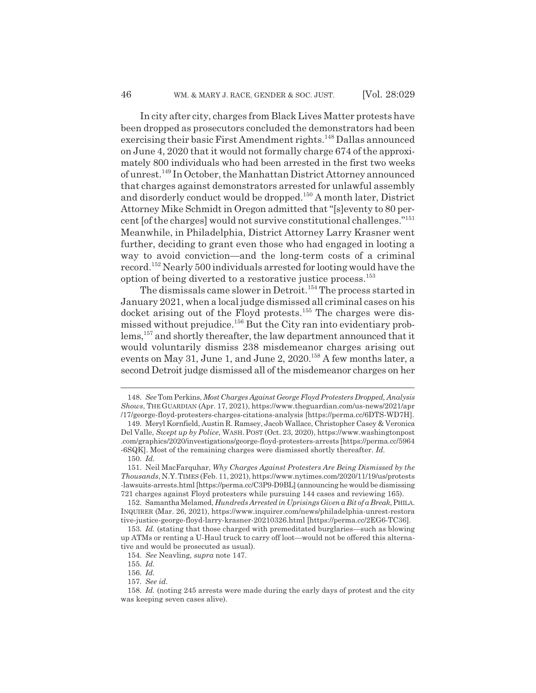In city after city, charges from Black Lives Matter protests have been dropped as prosecutors concluded the demonstrators had been exercising their basic First Amendment rights.<sup>148</sup> Dallas announced on June 4, 2020 that it would not formally charge 674 of the approximately 800 individuals who had been arrested in the first two weeks of unrest.149 In October, the Manhattan District Attorney announced that charges against demonstrators arrested for unlawful assembly and disorderly conduct would be dropped.150 A month later, District Attorney Mike Schmidt in Oregon admitted that "[s]eventy to 80 percent [of the charges] would not survive constitutional challenges."151 Meanwhile, in Philadelphia, District Attorney Larry Krasner went further, deciding to grant even those who had engaged in looting a way to avoid conviction—and the long-term costs of a criminal record.152 Nearly 500 individuals arrested for looting would have the option of being diverted to a restorative justice process.153

The dismissals came slower in Detroit.<sup>154</sup> The process started in January 2021, when a local judge dismissed all criminal cases on his docket arising out of the Floyd protests.<sup>155</sup> The charges were dismissed without prejudice.<sup>156</sup> But the City ran into evidentiary problems,<sup>157</sup> and shortly thereafter, the law department announced that it would voluntarily dismiss 238 misdemeanor charges arising out events on May 31, June 1, and June 2, 2020.<sup>158</sup> A few months later, a second Detroit judge dismissed all of the misdemeanor charges on her

<sup>148.</sup> *See*Tom Perkins, *Most Charges Against George Floyd Protesters Dropped, Analysis Shows*, THEGUARDIAN (Apr. 17, 2021), https://www.theguardian.com/us-news/2021/apr /17/george-floyd-protesters-charges-citations-analysis [https://perma.cc/6DTS-WD7H].

<sup>149.</sup> Meryl Kornfield, Austin R. Ramsey, Jacob Wallace, Christopher Casey & Veronica Del Valle, *Swept up by Police*, WASH. POST (Oct. 23, 2020), https://www.washingtonpost .com/graphics/2020/investigations/george-floyd-protesters-arrests [https://perma.cc/5964 -6SQK]. Most of the remaining charges were dismissed shortly thereafter. *Id.*

<sup>150.</sup> *Id.*

<sup>151.</sup> Neil MacFarquhar, *Why Charges Against Protesters Are Being Dismissed by the Thousands*, N.Y.TIMES (Feb. 11, 2021), https://www.nytimes.com/2020/11/19/us/protests -lawsuits-arrests.html [https://perma.cc/C3P9-D9BL] (announcing he would be dismissing 721 charges against Floyd protesters while pursuing 144 cases and reviewing 165).

<sup>152.</sup> Samantha Melamed, *Hundreds Arrested in Uprisings Given a Bit of a Break*, PHILA. INQUIRER (Mar. 26, 2021), https://www.inquirer.com/news/philadelphia-unrest-restora tive-justice-george-floyd-larry-krasner-20210326.html [https://perma.cc/2EG6-TC36].

<sup>153.</sup> *Id.* (stating that those charged with premeditated burglaries—such as blowing up ATMs or renting a U-Haul truck to carry off loot—would not be offered this alternative and would be prosecuted as usual).

<sup>154.</sup> *See* Neavling, *supra* note 147.

<sup>155.</sup> *Id.*

<sup>156.</sup> *Id.*

<sup>157.</sup> *See id.*

<sup>158.</sup> *Id.* (noting 245 arrests were made during the early days of protest and the city was keeping seven cases alive).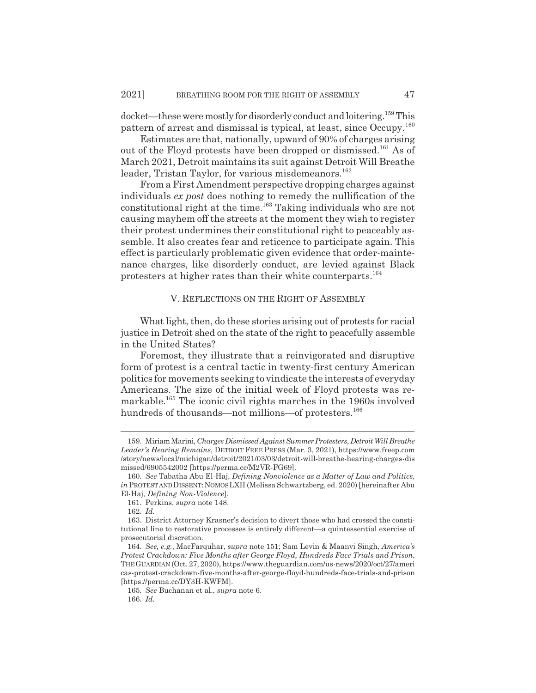docket—these were mostly for disorderly conduct and loitering.159 This pattern of arrest and dismissal is typical, at least, since Occupy.<sup>160</sup>

Estimates are that, nationally, upward of 90% of charges arising out of the Floyd protests have been dropped or dismissed.161 As of March 2021, Detroit maintains its suit against Detroit Will Breathe leader, Tristan Taylor, for various misdemeanors.<sup>162</sup>

From a First Amendment perspective dropping charges against individuals *ex post* does nothing to remedy the nullification of the constitutional right at the time.163 Taking individuals who are not causing mayhem off the streets at the moment they wish to register their protest undermines their constitutional right to peaceably assemble. It also creates fear and reticence to participate again. This effect is particularly problematic given evidence that order-maintenance charges, like disorderly conduct, are levied against Black protesters at higher rates than their white counterparts.<sup>164</sup>

## V. REFLECTIONS ON THE RIGHT OF ASSEMBLY

What light, then, do these stories arising out of protests for racial justice in Detroit shed on the state of the right to peacefully assemble in the United States?

Foremost, they illustrate that a reinvigorated and disruptive form of protest is a central tactic in twenty-first century American politics for movements seeking to vindicate the interests of everyday Americans. The size of the initial week of Floyd protests was remarkable.<sup>165</sup> The iconic civil rights marches in the 1960s involved hundreds of thousands—not millions—of protesters.<sup>166</sup>

<sup>159.</sup> Miriam Marini, *Charges Dismissed Against Summer Protesters, Detroit Will Breathe Leader's Hearing Remains*, DETROIT FREE PRESS (Mar. 3, 2021), https://www.freep.com /story/news/local/michigan/detroit/2021/03/03/detroit-will-breathe-hearing-charges-dis missed/6905542002 [https://perma.cc/M2VR-FG69].

<sup>160.</sup> *See* Tabatha Abu El-Haj, *Defining Nonviolence as a Matter of Law and Politics*, *in* PROTEST AND DISSENT: NOMOS LXII (Melissa Schwartzberg, ed. 2020) [hereinafter Abu El-Haj, *Defining Non-Violence*].

<sup>161.</sup> Perkins, *supra* note 148.

<sup>162.</sup> *Id.*

<sup>163.</sup> District Attorney Krasner's decision to divert those who had crossed the constitutional line to restorative processes is entirely different—a quintessential exercise of prosecutorial discretion.

<sup>164.</sup> *See, e.g.*, MacFarquhar, *supra* note 151; Sam Levin & Maanvi Singh, *America's Protest Crackdown: Five Months after George Floyd, Hundreds Face Trials and Prison*, THEGUARDIAN (Oct. 27, 2020), https://www.theguardian.com/us-news/2020/oct/27/ameri cas-protest-crackdown-five-months-after-george-floyd-hundreds-face-trials-and-prison [https://perma.cc/DY3H-KWFM].

<sup>165.</sup> *See* Buchanan et al., *supra* note 6.

<sup>166.</sup> *Id.*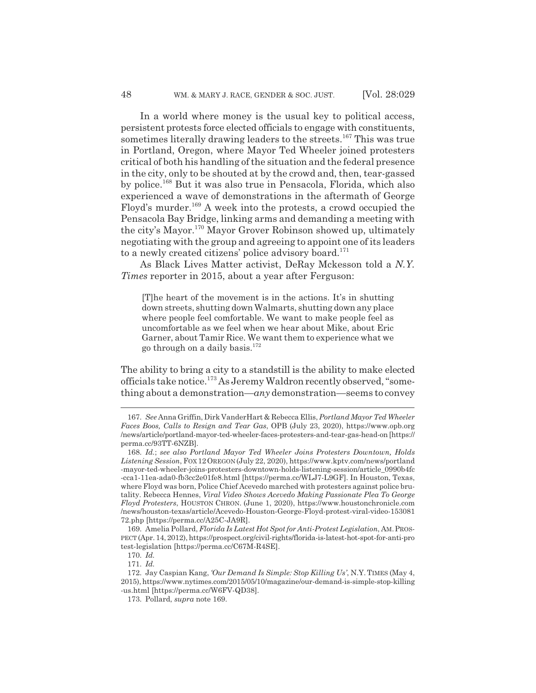In a world where money is the usual key to political access, persistent protests force elected officials to engage with constituents, sometimes literally drawing leaders to the streets.<sup>167</sup> This was true in Portland, Oregon, where Mayor Ted Wheeler joined protesters critical of both his handling of the situation and the federal presence in the city, only to be shouted at by the crowd and, then, tear-gassed by police.168 But it was also true in Pensacola, Florida, which also experienced a wave of demonstrations in the aftermath of George Floyd's murder.169 A week into the protests, a crowd occupied the Pensacola Bay Bridge, linking arms and demanding a meeting with the city's Mayor.170 Mayor Grover Robinson showed up, ultimately negotiating with the group and agreeing to appoint one of its leaders to a newly created citizens' police advisory board.<sup>171</sup>

As Black Lives Matter activist, DeRay Mckesson told a *N.Y. Times* reporter in 2015, about a year after Ferguson:

[T]he heart of the movement is in the actions. It's in shutting down streets, shutting down Walmarts, shutting down any place where people feel comfortable. We want to make people feel as uncomfortable as we feel when we hear about Mike, about Eric Garner, about Tamir Rice. We want them to experience what we go through on a daily basis.172

The ability to bring a city to a standstill is the ability to make elected officials take notice.173 As Jeremy Waldron recently observed, "something about a demonstration—*any* demonstration—seems to convey

<sup>167.</sup> *See* Anna Griffin, Dirk VanderHart & Rebecca Ellis, *Portland Mayor Ted Wheeler Faces Boos, Calls to Resign and Tear Gas*, OPB (July 23, 2020), https://www.opb.org /news/article/portland-mayor-ted-wheeler-faces-protesters-and-tear-gas-head-on [https:// perma.cc/93TT-6NZB].

<sup>168.</sup> *Id.*; *see also Portland Mayor Ted Wheeler Joins Protesters Downtown, Holds Listening Session*, FOX 12OREGON (July 22, 2020), https://www.kptv.com/news/portland -mayor-ted-wheeler-joins-protesters-downtown-holds-listening-session/article\_0990b4fc -cca1-11ea-ada0-fb3cc2e01fe8.html [https://perma.cc/WLJ7-L9GF]. In Houston, Texas, where Floyd was born, Police Chief Acevedo marched with protesters against police brutality. Rebecca Hennes, *Viral Video Shows Acevedo Making Passionate Plea To George Floyd Protesters*, HOUSTON CHRON. (June 1, 2020), https://www.houstonchronicle.com /news/houston-texas/article/Acevedo-Houston-George-Floyd-protest-viral-video-153081 72.php [https://perma.cc/A25C-JA9R].

<sup>169.</sup> Amelia Pollard, *Florida Is Latest Hot Spot for Anti-Protest Legislation*, AM.PROS-PECT (Apr. 14, 2012), https://prospect.org/civil-rights/florida-is-latest-hot-spot-for-anti-pro test-legislation [https://perma.cc/C67M-R4SE].

<sup>170.</sup> *Id.*

<sup>171.</sup> *Id.*

<sup>172.</sup> Jay Caspian Kang, *'Our Demand Is Simple: Stop Killing Us'*, N.Y. TIMES (May 4, 2015), https://www.nytimes.com/2015/05/10/magazine/our-demand-is-simple-stop-killing -us.html [https://perma.cc/W6FV-QD38].

<sup>173.</sup> Pollard, *supra* note 169.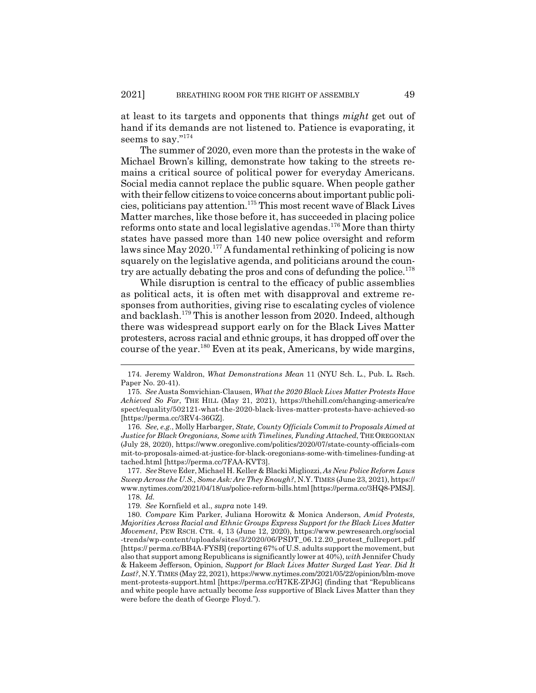at least to its targets and opponents that things *might* get out of hand if its demands are not listened to. Patience is evaporating, it seems to say."<sup>174</sup>

The summer of 2020, even more than the protests in the wake of Michael Brown's killing, demonstrate how taking to the streets remains a critical source of political power for everyday Americans. Social media cannot replace the public square. When people gather with their fellow citizens to voice concerns about important public policies, politicians pay attention.175 This most recent wave of Black Lives Matter marches, like those before it, has succeeded in placing police reforms onto state and local legislative agendas.<sup>176</sup> More than thirty states have passed more than 140 new police oversight and reform laws since  $\dot{May}$  2020.<sup>177</sup> A fundamental rethinking of policing is now squarely on the legislative agenda, and politicians around the country are actually debating the pros and cons of defunding the police. $178$ 

While disruption is central to the efficacy of public assemblies as political acts, it is often met with disapproval and extreme responses from authorities, giving rise to escalating cycles of violence and backlash.179 This is another lesson from 2020. Indeed, although there was widespread support early on for the Black Lives Matter protesters, across racial and ethnic groups, it has dropped off over the course of the year.<sup>180</sup> Even at its peak, Americans, by wide margins,

176. *See, e.g.*, Molly Harbarger, *State, County Officials Commit to Proposals Aimed at Justice for Black Oregonians, Some with Timelines, Funding Attached*, THEOREGONIAN (July 28, 2020), https://www.oregonlive.com/politics/2020/07/state-county-officials-com mit-to-proposals-aimed-at-justice-for-black-oregonians-some-with-timelines-funding-at tached.html [https://perma.cc/7FAA-KVT3].

177. *See* Steve Eder, Michael H. Keller & Blacki Migliozzi, *As New Police Reform Laws Sweep Across the U.S., Some Ask: Are They Enough?*, N.Y. TIMES (June 23, 2021), https:// www.nytimes.com/2021/04/18/us/police-reform-bills.html [https://perma.cc/3HQ8-PMSJ]. 178. *Id.*

<sup>174.</sup> Jeremy Waldron, *What Demonstrations Mean* 11 (NYU Sch. L., Pub. L. Rsch. Paper No. 20-41).

<sup>175.</sup> *See* Austa Somvichian-Clausen, *What the 2020 Black Lives Matter Protests Have Achieved So Far*, THE HILL (May 21, 2021), https://thehill.com/changing-america/re spect/equality/502121-what-the-2020-black-lives-matter-protests-have-achieved-so [https://perma.cc/3RV4-36GZ].

<sup>179.</sup> *See* Kornfield et al., *supra* note 149.

<sup>180.</sup> *Compare* Kim Parker, Juliana Horowitz & Monica Anderson, *Amid Protests, Majorities Across Racial and Ethnic Groups Express Support for the Black Lives Matter Movement*, PEW RSCH. CTR. 4, 13 (June 12, 2020), https://www.pewresearch.org/social -trends/wp-content/uploads/sites/3/2020/06/PSDT\_06.12.20\_protest\_fullreport.pdf [https:// perma.cc/BB4A-FYSB] (reporting 67% of U.S. adults support the movement, but also that support among Republicans is significantly lower at 40%), *with* Jennifer Chudy & Hakeem Jefferson, Opinion, *Support for Black Lives Matter Surged Last Year. Did It Last?*, N.Y.TIMES (May 22, 2021), https://www.nytimes.com/2021/05/22/opinion/blm-move ment-protests-support.html [https://perma.cc/H7KE-ZPJG] (finding that "Republicans and white people have actually become *less* supportive of Black Lives Matter than they were before the death of George Floyd.").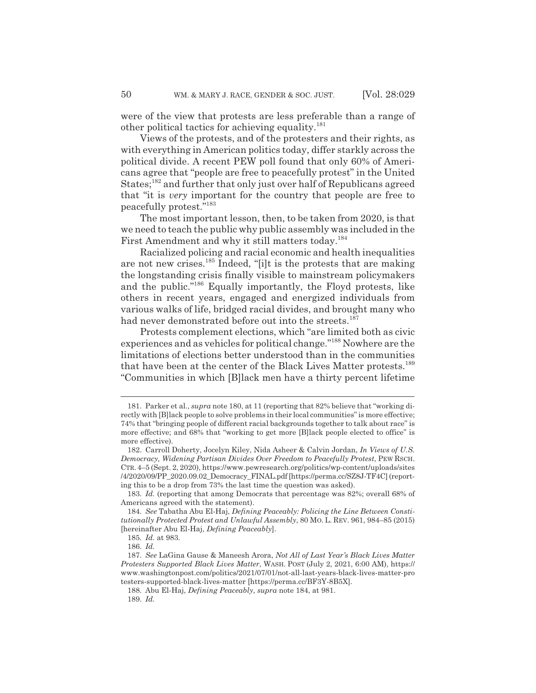were of the view that protests are less preferable than a range of other political tactics for achieving equality.<sup>181</sup>

Views of the protests, and of the protesters and their rights, as with everything in American politics today, differ starkly across the political divide. A recent PEW poll found that only 60% of Americans agree that "people are free to peacefully protest" in the United States;<sup>182</sup> and further that only just over half of Republicans agreed that "it is *very* important for the country that people are free to peacefully protest."183

The most important lesson, then, to be taken from 2020, is that we need to teach the public why public assembly was included in the First Amendment and why it still matters today.<sup>184</sup>

Racialized policing and racial economic and health inequalities are not new crises.185 Indeed, "[i]t is the protests that are making the longstanding crisis finally visible to mainstream policymakers and the public."<sup>186</sup> Equally importantly, the Floyd protests, like others in recent years, engaged and energized individuals from various walks of life, bridged racial divides, and brought many who had never demonstrated before out into the streets.<sup>187</sup>

Protests complement elections, which "are limited both as civic experiences and as vehicles for political change."188 Nowhere are the limitations of elections better understood than in the communities that have been at the center of the Black Lives Matter protests.<sup>189</sup> "Communities in which [B]lack men have a thirty percent lifetime

<sup>181.</sup> Parker et al., *supra* note 180, at 11 (reporting that 82% believe that "working directly with [B]lack people to solve problems in their local communities" is more effective; 74% that "bringing people of different racial backgrounds together to talk about race" is more effective; and 68% that "working to get more [B]lack people elected to office" is more effective).

<sup>182.</sup> Carroll Doherty, Jocelyn Kiley, Nida Asheer & Calvin Jordan, *In Views of U.S. Democracy, Widening Partisan Divides Over Freedom to Peacefully Protest, PEW RSCH.* CTR.4–5 (Sept. 2, 2020), https://www.pewresearch.org/politics/wp-content/uploads/sites /4/2020/09/PP\_2020.09.02\_Democracy\_FINAL.pdf [https://perma.cc/SZ8J-TF4C] (reporting this to be a drop from 73% the last time the question was asked).

<sup>183.</sup> *Id.* (reporting that among Democrats that percentage was 82%; overall 68% of Americans agreed with the statement).

<sup>184.</sup> *See* Tabatha Abu El-Haj, *Defining Peaceably: Policing the Line Between Constitutionally Protected Protest and Unlawful Assembly*, 80 MO. L. REV. 961, 984–85 (2015) [hereinafter Abu El-Haj, *Defining Peaceably*].

<sup>185.</sup> *Id.* at 983.

<sup>186.</sup> *Id.*

<sup>187.</sup> *See* LaGina Gause & Maneesh Arora, *Not All of Last Year's Black Lives Matter Protesters Supported Black Lives Matter*, WASH. POST (July 2, 2021, 6:00 AM), https:// www.washingtonpost.com/politics/2021/07/01/not-all-last-years-black-lives-matter-pro testers-supported-black-lives-matter [https://perma.cc/BF3Y-8B5X].

<sup>188.</sup> Abu El-Haj, *Defining Peaceably*, *supra* note 184, at 981.

<sup>189.</sup> *Id.*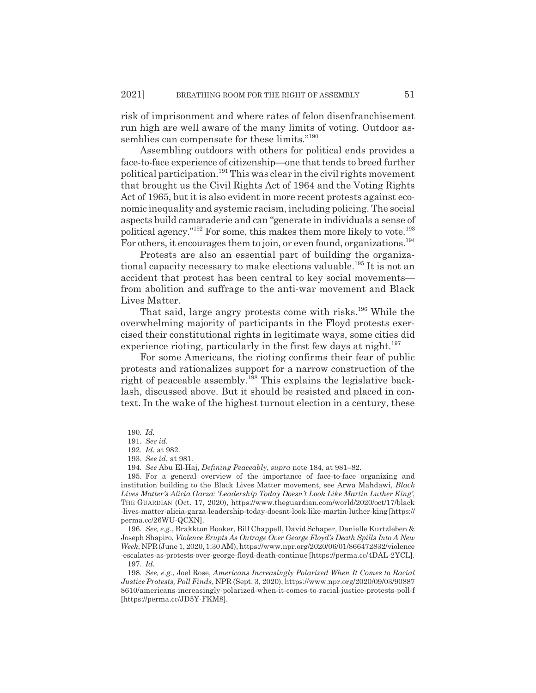risk of imprisonment and where rates of felon disenfranchisement run high are well aware of the many limits of voting. Outdoor assemblies can compensate for these limits."<sup>190</sup>

Assembling outdoors with others for political ends provides a face-to-face experience of citizenship—one that tends to breed further political participation.<sup>191</sup> This was clear in the civil rights movement that brought us the Civil Rights Act of 1964 and the Voting Rights Act of 1965, but it is also evident in more recent protests against economic inequality and systemic racism, including policing. The social aspects build camaraderie and can "generate in individuals a sense of political agency."<sup>192</sup> For some, this makes them more likely to vote.<sup>193</sup> For others, it encourages them to join, or even found, organizations.<sup>194</sup>

Protests are also an essential part of building the organizational capacity necessary to make elections valuable.<sup>195</sup> It is not an accident that protest has been central to key social movements from abolition and suffrage to the anti-war movement and Black Lives Matter.

That said, large angry protests come with risks.<sup>196</sup> While the overwhelming majority of participants in the Floyd protests exercised their constitutional rights in legitimate ways, some cities did experience rioting, particularly in the first few days at night.<sup>197</sup>

For some Americans, the rioting confirms their fear of public protests and rationalizes support for a narrow construction of the right of peaceable assembly.<sup>198</sup> This explains the legislative backlash, discussed above. But it should be resisted and placed in context. In the wake of the highest turnout election in a century, these

<sup>190.</sup> *Id.*

<sup>191.</sup> *See id.*

<sup>192.</sup> *Id.* at 982.

<sup>193.</sup> *See id.* at 981.

<sup>194.</sup> *See* Abu El-Haj, *Defining Peaceably*, *supra* note 184, at 981–82.

<sup>195.</sup> For a general overview of the importance of face-to-face organizing and institution building to the Black Lives Matter movement, see Arwa Mahdawi, *Black Lives Matter's Alicia Garza: 'Leadership Today Doesn't Look Like Martin Luther King'*, THE GUARDIAN (Oct. 17, 2020), https://www.theguardian.com/world/2020/oct/17/black -lives-matter-alicia-garza-leadership-today-doesnt-look-like-martin-luther-king [https:// perma.cc/26WU-QCXN].

<sup>196.</sup> *See, e.g.*, Brakkton Booker, Bill Chappell, David Schaper, Danielle Kurtzleben & Joseph Shapiro, *Violence Erupts As Outrage Over George Floyd's Death Spills Into A New Week*, NPR(June 1, 2020, 1:30 AM), https://www.npr.org/2020/06/01/866472832/violence -escalates-as-protests-over-george-floyd-death-continue [https://perma.cc/4DAL-2YCL].

<sup>197.</sup> *Id.*

<sup>198.</sup> *See, e.g.*, Joel Rose, *Americans Increasingly Polarized When It Comes to Racial Justice Protests, Poll Finds*, NPR (Sept. 3, 2020), https://www.npr.org/2020/09/03/90887 8610/americans-increasingly-polarized-when-it-comes-to-racial-justice-protests-poll-f [https://perma.cc/JD5Y-FKM8].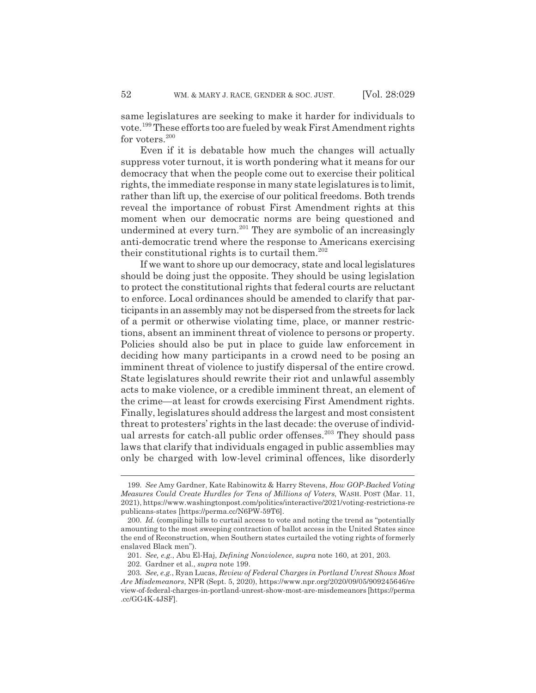same legislatures are seeking to make it harder for individuals to vote.199 These efforts too are fueled by weak First Amendment rights for voters. $200$ 

Even if it is debatable how much the changes will actually suppress voter turnout, it is worth pondering what it means for our democracy that when the people come out to exercise their political rights, the immediate response in many state legislatures is to limit, rather than lift up, the exercise of our political freedoms. Both trends reveal the importance of robust First Amendment rights at this moment when our democratic norms are being questioned and undermined at every turn.<sup>201</sup> They are symbolic of an increasingly anti-democratic trend where the response to Americans exercising their constitutional rights is to curtail them.<sup>202</sup>

If we want to shore up our democracy, state and local legislatures should be doing just the opposite. They should be using legislation to protect the constitutional rights that federal courts are reluctant to enforce. Local ordinances should be amended to clarify that participants in an assembly may not be dispersed from the streets for lack of a permit or otherwise violating time, place, or manner restrictions, absent an imminent threat of violence to persons or property. Policies should also be put in place to guide law enforcement in deciding how many participants in a crowd need to be posing an imminent threat of violence to justify dispersal of the entire crowd. State legislatures should rewrite their riot and unlawful assembly acts to make violence, or a credible imminent threat, an element of the crime—at least for crowds exercising First Amendment rights. Finally, legislatures should address the largest and most consistent threat to protesters' rights in the last decade: the overuse of individual arrests for catch-all public order offenses.<sup>203</sup> They should pass laws that clarify that individuals engaged in public assemblies may only be charged with low-level criminal offences, like disorderly

<sup>199.</sup> *See* Amy Gardner, Kate Rabinowitz & Harry Stevens, *How GOP-Backed Voting Measures Could Create Hurdles for Tens of Millions of Voters*, WASH. POST (Mar. 11, 2021), https://www.washingtonpost.com/politics/interactive/2021/voting-restrictions-re publicans-states [https://perma.cc/N6PW-59T6].

<sup>200.</sup> *Id.* (compiling bills to curtail access to vote and noting the trend as "potentially amounting to the most sweeping contraction of ballot access in the United States since the end of Reconstruction, when Southern states curtailed the voting rights of formerly enslaved Black men").

<sup>201.</sup> *See, e.g.*, Abu El-Haj, *Defining Nonviolence*, *supra* note 160, at 201, 203.

<sup>202.</sup> Gardner et al., *supra* note 199.

<sup>203.</sup> *See, e.g.*, Ryan Lucas, *Review of Federal Charges in Portland Unrest Shows Most Are Misdemeanors*, NPR (Sept. 5, 2020), https://www.npr.org/2020/09/05/909245646/re view-of-federal-charges-in-portland-unrest-show-most-are-misdemeanors [https://perma .cc/GG4K-4JSF].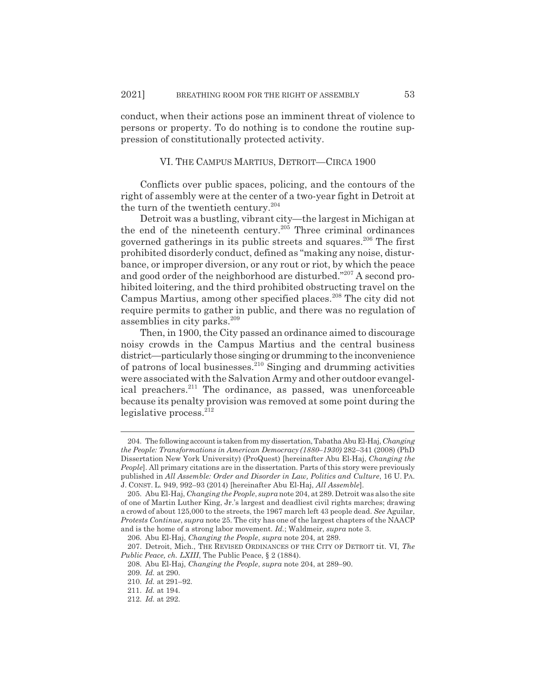conduct, when their actions pose an imminent threat of violence to persons or property. To do nothing is to condone the routine suppression of constitutionally protected activity.

#### VI. THE CAMPUS MARTIUS, DETROIT—CIRCA 1900

Conflicts over public spaces, policing, and the contours of the right of assembly were at the center of a two-year fight in Detroit at the turn of the twentieth century.<sup>204</sup>

Detroit was a bustling, vibrant city—the largest in Michigan at the end of the nineteenth century.<sup>205</sup> Three criminal ordinances governed gatherings in its public streets and squares.<sup>206</sup> The first prohibited disorderly conduct, defined as "making any noise, disturbance, or improper diversion, or any rout or riot, by which the peace and good order of the neighborhood are disturbed."<sup>207</sup> A second prohibited loitering, and the third prohibited obstructing travel on the Campus Martius, among other specified places.<sup>208</sup> The city did not require permits to gather in public, and there was no regulation of assemblies in city parks.<sup>209</sup>

Then, in 1900, the City passed an ordinance aimed to discourage noisy crowds in the Campus Martius and the central business district—particularly those singing or drumming to the inconvenience of patrons of local businesses. $^{210}$  Singing and drumming activities were associated with the Salvation Army and other outdoor evangelical preachers.<sup>211</sup> The ordinance, as passed, was unenforceable because its penalty provision was removed at some point during the legislative process. $^{212}$ 

<sup>204.</sup> The following account is taken from my dissertation, Tabatha Abu El-Haj, *Changing the People: Transformations in American Democracy (1880–1930)* 282–341 (2008) (PhD Dissertation New York University) (ProQuest) [hereinafter Abu El-Haj, *Changing the People*]. All primary citations are in the dissertation. Parts of this story were previously published in *All Assemble: Order and Disorder in Law, Politics and Culture*, 16 U. PA. J. CONST. L. 949, 992–93 (2014) [hereinafter Abu El-Haj, *All Assemble*].

<sup>205.</sup> Abu El-Haj, *Changing the People*, *supra* note 204, at 289. Detroit was also the site of one of Martin Luther King, Jr.'s largest and deadliest civil rights marches; drawing a crowd of about 125,000 to the streets, the 1967 march left 43 people dead. *See* Aguilar, *Protests Continue*, *supra* note 25. The city has one of the largest chapters of the NAACP and is the home of a strong labor movement. *Id.*; Waldmeir, *supra* note 3.

<sup>206.</sup> Abu El-Haj, *Changing the People*, *supra* note 204, at 289.

<sup>207.</sup> Detroit, Mich., THE REVISED ORDINANCES OF THE CITY OF DETROIT tit. VI, *The Public Peace, ch. LXIII*, The Public Peace, § 2 (1884).

<sup>208.</sup> Abu El-Haj, *Changing the People*, *supra* note 204, at 289–90.

<sup>209.</sup> *Id.* at 290.

<sup>210.</sup> *Id.* at 291–92.

<sup>211.</sup> *Id.* at 194.

<sup>212.</sup> *Id.* at 292.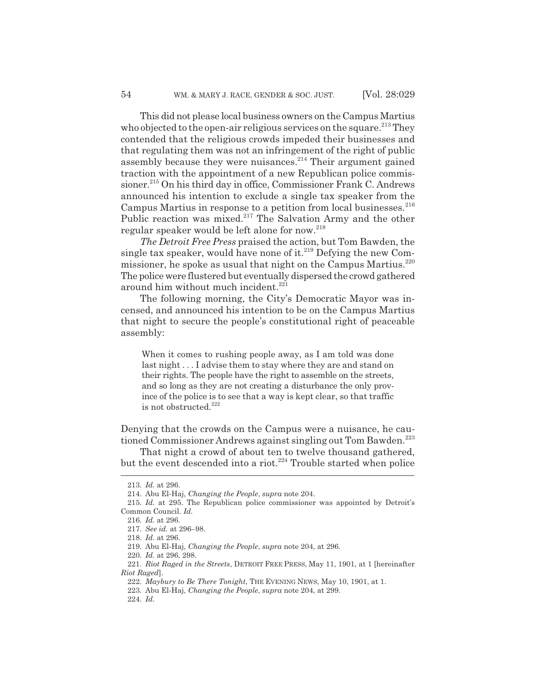This did not please local business owners on the Campus Martius who objected to the open-air religious services on the square.<sup>213</sup> They contended that the religious crowds impeded their businesses and that regulating them was not an infringement of the right of public assembly because they were nuisances.<sup>214</sup> Their argument gained traction with the appointment of a new Republican police commissioner.<sup>215</sup> On his third day in office, Commissioner Frank C. Andrews announced his intention to exclude a single tax speaker from the Campus Martius in response to a petition from local businesses.  $216$ Public reaction was mixed.<sup>217</sup> The Salvation Army and the other regular speaker would be left alone for now.<sup>218</sup>

*The Detroit Free Press* praised the action, but Tom Bawden, the single tax speaker, would have none of it.<sup>219</sup> Defying the new Commissioner, he spoke as usual that night on the Campus Martius.<sup>220</sup> The police were flustered but eventually dispersed the crowd gathered around him without much incident.<sup>221</sup>

The following morning, the City's Democratic Mayor was incensed, and announced his intention to be on the Campus Martius that night to secure the people's constitutional right of peaceable assembly:

When it comes to rushing people away, as I am told was done last night . . . I advise them to stay where they are and stand on their rights. The people have the right to assemble on the streets, and so long as they are not creating a disturbance the only province of the police is to see that a way is kept clear, so that traffic is not obstructed.<sup>222</sup>

Denying that the crowds on the Campus were a nuisance, he cautioned Commissioner Andrews against singling out Tom Bawden.<sup>223</sup>

That night a crowd of about ten to twelve thousand gathered, but the event descended into a riot.<sup>224</sup> Trouble started when police

224. *Id.*

<sup>213.</sup> *Id.* at 296.

<sup>214.</sup> Abu El-Haj, *Changing the People*, *supra* note 204.

<sup>215.</sup> *Id.* at 295. The Republican police commissioner was appointed by Detroit's Common Council. *Id.*

<sup>216.</sup> *Id.* at 296.

<sup>217.</sup> *See id.* at 296–98.

<sup>218.</sup> *Id.* at 296.

<sup>219.</sup> Abu El-Haj, *Changing the People*, *supra* note 204, at 296.

<sup>220.</sup> *Id.* at 296, 298.

<sup>221.</sup> *Riot Raged in the Streets*, DETROIT FREE PRESS, May 11, 1901, at 1 [hereinafter *Riot Raged*].

<sup>222.</sup> *Maybury to Be There Tonight*, THE EVENING NEWS, May 10, 1901, at 1.

<sup>223.</sup> Abu El-Haj, *Changing the People*, *supra* note 204, at 299.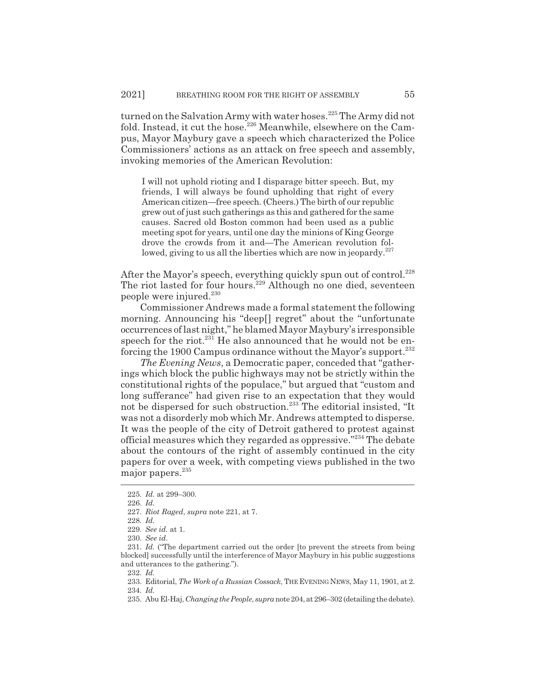turned on the Salvation Army with water hoses.<sup>225</sup> The Army did not fold. Instead, it cut the hose.<sup>226</sup> Meanwhile, elsewhere on the Campus, Mayor Maybury gave a speech which characterized the Police Commissioners' actions as an attack on free speech and assembly, invoking memories of the American Revolution:

I will not uphold rioting and I disparage bitter speech. But, my friends, I will always be found upholding that right of every American citizen—free speech. (Cheers.) The birth of our republic grew out of just such gatherings as this and gathered for the same causes. Sacred old Boston common had been used as a public meeting spot for years, until one day the minions of King George drove the crowds from it and—The American revolution followed, giving to us all the liberties which are now in jeopardy. $227$ 

After the Mayor's speech, everything quickly spun out of control.<sup>228</sup> The riot lasted for four hours.<sup>229</sup> Although no one died, seventeen people were injured.<sup>230</sup>

Commissioner Andrews made a formal statement the following morning. Announcing his "deep[] regret" about the "unfortunate occurrences of last night," he blamed Mayor Maybury's irresponsible speech for the riot. $231$  He also announced that he would not be enforcing the 1900 Campus ordinance without the Mayor's support.<sup>232</sup>

*The Evening News*, a Democratic paper, conceded that "gatherings which block the public highways may not be strictly within the constitutional rights of the populace," but argued that "custom and long sufferance" had given rise to an expectation that they would not be dispersed for such obstruction.<sup>233</sup> The editorial insisted, "It was not a disorderly mob which Mr. Andrews attempted to disperse. It was the people of the city of Detroit gathered to protest against official measures which they regarded as oppressive."234 The debate about the contours of the right of assembly continued in the city papers for over a week, with competing views published in the two major papers.<sup>235</sup>

<sup>225.</sup> *Id.* at 299–300.

<sup>226.</sup> *Id.*

<sup>227.</sup> *Riot Raged*, *supra* note 221, at 7.

<sup>228.</sup> *Id.*

<sup>229.</sup> *See id.* at 1.

<sup>230.</sup> *See id.*

<sup>231.</sup> *Id.* ("The department carried out the order [to prevent the streets from being blocked] successfully until the interference of Mayor Maybury in his public suggestions and utterances to the gathering.").

<sup>232.</sup> *Id.*

<sup>233.</sup> Editorial, *The Work of a Russian Cossack*, THE EVENING NEWS, May 11, 1901, at 2. 234. *Id.*

<sup>235.</sup> Abu El-Haj, *Changing the People*, *supra*note 204, at 296–302 (detailing the debate).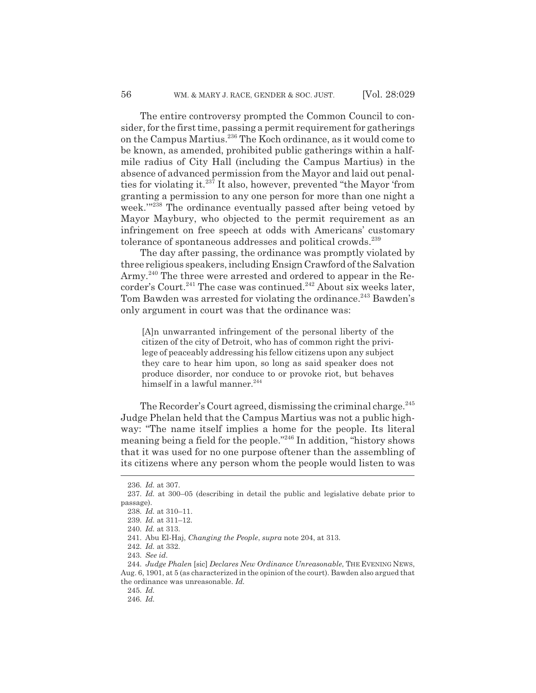The entire controversy prompted the Common Council to consider, for the first time, passing a permit requirement for gatherings on the Campus Martius.<sup>236</sup> The Koch ordinance, as it would come to be known, as amended, prohibited public gatherings within a halfmile radius of City Hall (including the Campus Martius) in the absence of advanced permission from the Mayor and laid out penalties for violating it.237 It also, however, prevented "the Mayor 'from granting a permission to any one person for more than one night a week.'"238 The ordinance eventually passed after being vetoed by Mayor Maybury, who objected to the permit requirement as an infringement on free speech at odds with Americans' customary tolerance of spontaneous addresses and political crowds.<sup>239</sup>

The day after passing, the ordinance was promptly violated by three religious speakers, including Ensign Crawford of the Salvation Army.<sup>240</sup> The three were arrested and ordered to appear in the Recorder's Court.<sup>241</sup> The case was continued.<sup>242</sup> About six weeks later, Tom Bawden was arrested for violating the ordinance.<sup>243</sup> Bawden's only argument in court was that the ordinance was:

[A]n unwarranted infringement of the personal liberty of the citizen of the city of Detroit, who has of common right the privilege of peaceably addressing his fellow citizens upon any subject they care to hear him upon, so long as said speaker does not produce disorder, nor conduce to or provoke riot, but behaves himself in a lawful manner.<sup>244</sup>

The Recorder's Court agreed, dismissing the criminal charge.<sup>245</sup> Judge Phelan held that the Campus Martius was not a public highway: "The name itself implies a home for the people. Its literal meaning being a field for the people."246 In addition, "history shows that it was used for no one purpose oftener than the assembling of its citizens where any person whom the people would listen to was

<sup>236.</sup> *Id.* at 307.

<sup>237.</sup> *Id.* at 300–05 (describing in detail the public and legislative debate prior to passage).

<sup>238.</sup> *Id.* at 310–11.

<sup>239.</sup> *Id.* at 311–12.

<sup>240.</sup> *Id.* at 313.

<sup>241.</sup> Abu El-Haj, *Changing the People*, *supra* note 204, at 313.

<sup>242.</sup> *Id.* at 332.

<sup>243.</sup> *See id.*

<sup>244.</sup> *Judge Phalen* [sic] *Declares New Ordinance Unreasonable*, THE EVENING NEWS, Aug. 6, 1901, at 5 (as characterized in the opinion of the court). Bawden also argued that the ordinance was unreasonable. *Id.*

<sup>245.</sup> *Id.*

<sup>246.</sup> *Id.*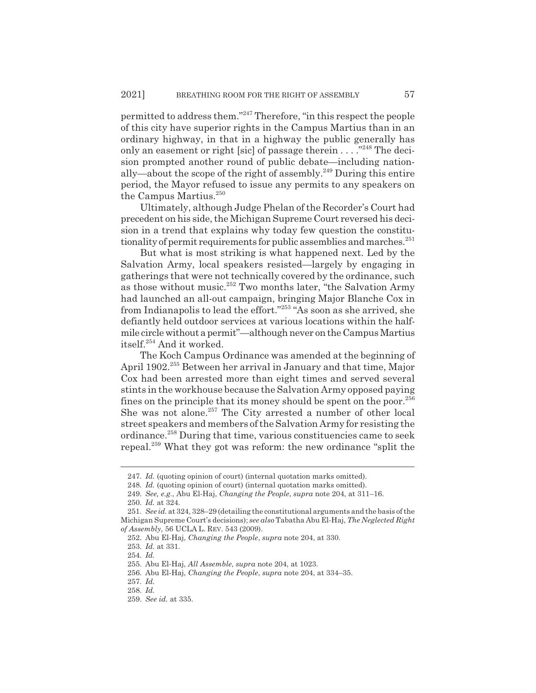permitted to address them."247 Therefore, "in this respect the people of this city have superior rights in the Campus Martius than in an ordinary highway, in that in a highway the public generally has only an easement or right [sic] of passage therein . . . . "<sup>248</sup> The decision prompted another round of public debate—including nationally—about the scope of the right of assembly.<sup>249</sup> During this entire period, the Mayor refused to issue any permits to any speakers on the Campus Martius.<sup>250</sup>

Ultimately, although Judge Phelan of the Recorder's Court had precedent on his side, the Michigan Supreme Court reversed his decision in a trend that explains why today few question the constitutionality of permit requirements for public assemblies and marches.<sup>251</sup>

But what is most striking is what happened next. Led by the Salvation Army, local speakers resisted—largely by engaging in gatherings that were not technically covered by the ordinance, such as those without music.<sup>252</sup> Two months later, "the Salvation Army had launched an all-out campaign, bringing Major Blanche Cox in from Indianapolis to lead the effort."253 "As soon as she arrived, she defiantly held outdoor services at various locations within the halfmile circle without a permit"—although never on the Campus Martius itself.254 And it worked.

The Koch Campus Ordinance was amended at the beginning of April 1902.<sup>255</sup> Between her arrival in January and that time, Major Cox had been arrested more than eight times and served several stints in the workhouse because the Salvation Army opposed paying fines on the principle that its money should be spent on the poor. $256$ She was not alone.<sup>257</sup> The City arrested a number of other local street speakers and members of the Salvation Army for resisting the ordinance.258 During that time, various constituencies came to seek repeal.259 What they got was reform: the new ordinance "split the

<sup>247.</sup> *Id.* (quoting opinion of court) (internal quotation marks omitted).

<sup>248.</sup> *Id.* (quoting opinion of court) (internal quotation marks omitted).

<sup>249.</sup> *See, e.g.*, Abu El-Haj, *Changing the People*, *supra* note 204, at 311–16.

<sup>250.</sup> *Id.* at 324.

<sup>251.</sup> *See id.* at 324, 328–29 (detailing the constitutional arguments and the basis of the Michigan Supreme Court's decisions); *see also* Tabatha Abu El-Haj, *The Neglected Right of Assembly*, 56 UCLA L. REV. 543 (2009).

<sup>252.</sup> Abu El-Haj, *Changing the People*, *supra* note 204, at 330.

<sup>253.</sup> *Id.* at 331.

<sup>254.</sup> *Id.*

<sup>255.</sup> Abu El-Haj, *All Assemble*, *supra* note 204, at 1023.

<sup>256.</sup> Abu El-Haj, *Changing the People*, *supra* note 204, at 334–35.

<sup>257.</sup> *Id.*

<sup>258.</sup> *Id.*

<sup>259.</sup> *See id.* at 335.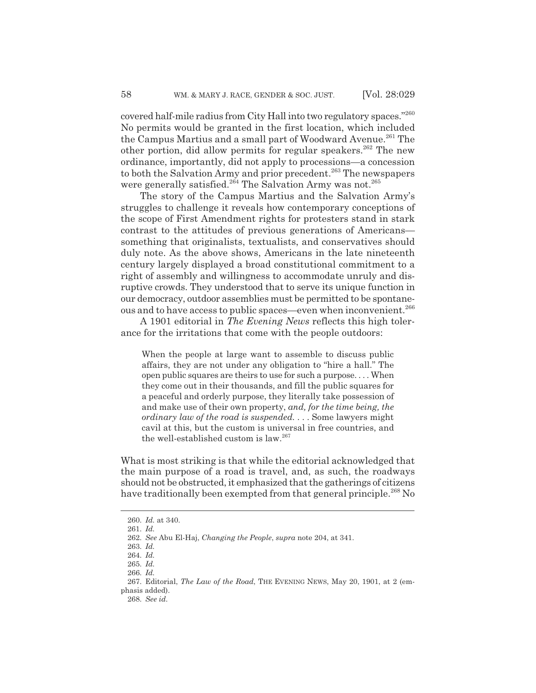covered half-mile radius from City Hall into two regulatory spaces."260 No permits would be granted in the first location, which included the Campus Martius and a small part of Woodward Avenue.<sup>261</sup> The other portion, did allow permits for regular speakers.<sup>262</sup> The new ordinance, importantly, did not apply to processions—a concession to both the Salvation Army and prior precedent.<sup>263</sup> The newspapers were generally satisfied.<sup>264</sup> The Salvation Army was not.<sup>265</sup>

The story of the Campus Martius and the Salvation Army's struggles to challenge it reveals how contemporary conceptions of the scope of First Amendment rights for protesters stand in stark contrast to the attitudes of previous generations of Americans something that originalists, textualists, and conservatives should duly note. As the above shows, Americans in the late nineteenth century largely displayed a broad constitutional commitment to a right of assembly and willingness to accommodate unruly and disruptive crowds. They understood that to serve its unique function in our democracy, outdoor assemblies must be permitted to be spontaneous and to have access to public spaces—even when inconvenient.<sup>266</sup>

A 1901 editorial in *The Evening News* reflects this high tolerance for the irritations that come with the people outdoors:

When the people at large want to assemble to discuss public affairs, they are not under any obligation to "hire a hall." The open public squares are theirs to use for such a purpose. . . . When they come out in their thousands, and fill the public squares for a peaceful and orderly purpose, they literally take possession of and make use of their own property, *and, for the time being, the ordinary law of the road is suspended.* . . . Some lawyers might cavil at this, but the custom is universal in free countries, and the well-established custom is law. $267$ 

What is most striking is that while the editorial acknowledged that the main purpose of a road is travel, and, as such, the roadways should not be obstructed, it emphasized that the gatherings of citizens have traditionally been exempted from that general principle.<sup>268</sup> No

<sup>260.</sup> *Id.* at 340.

<sup>261.</sup> *Id.*

<sup>262.</sup> *See* Abu El-Haj, *Changing the People*, *supra* note 204, at 341.

<sup>263.</sup> *Id.*

<sup>264.</sup> *Id.*

<sup>265.</sup> *Id.*

<sup>266.</sup> *Id.*

<sup>267.</sup> Editorial, *The Law of the Road*, THE EVENING NEWS, May 20, 1901, at 2 (emphasis added).

<sup>268.</sup> *See id.*